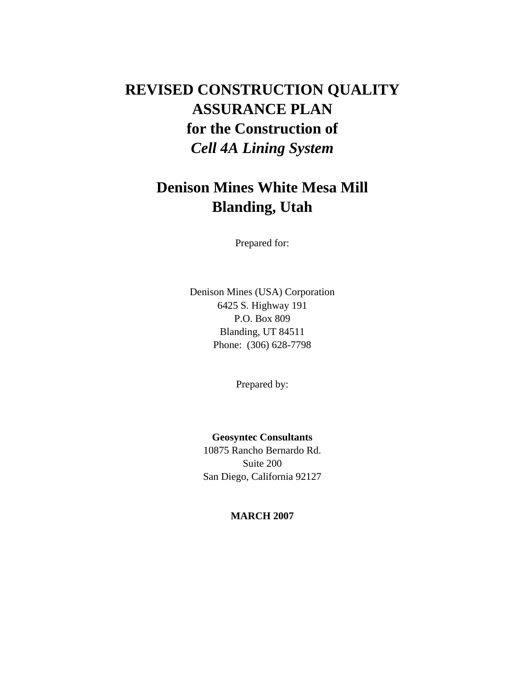# **REVISED CONSTRUCTION QUALITY ASSURANCE PLAN for the Construction of**  *Cell 4A Lining System*

# **Denison Mines White Mesa Mill Blanding, Utah**

Prepared for:

Denison Mines (USA) Corporation 6425 S. Highway 191 P.O. Box 809 Blanding, UT 84511 Phone: (306) 628-7798

Prepared by:

**Geosyntec Consultants**  10875 Rancho Bernardo Rd. Suite 200 San Diego, California 92127

**MARCH 2007**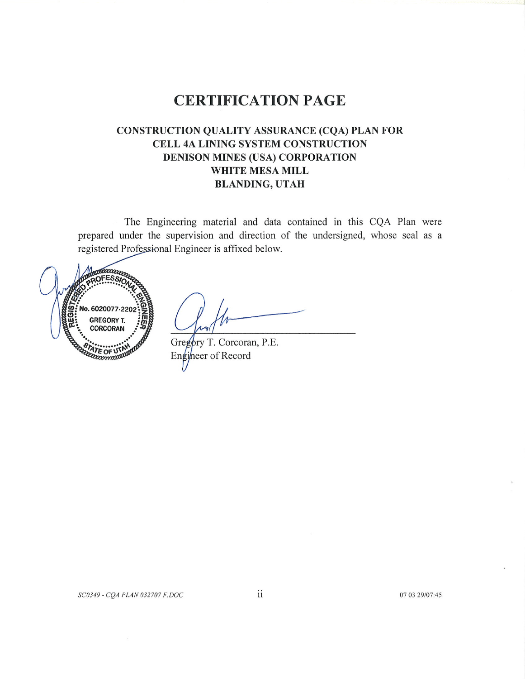# **CERTIFICATION PAGE**

# **CONSTRUCTION QUALITY ASSURANCE (CQA) PLAN FOR** CELL 4A LINING SYSTEM CONSTRUCTION **DENISON MINES (USA) CORPORATION** WHITE MESA MILL **BLANDING, UTAH**

The Engineering material and data contained in this CQA Plan were prepared under the supervision and direction of the undersigned, whose seal as a registered Professional Engineer is affixed below.



Gregory T. Corcoran, P.E. Engineer of Record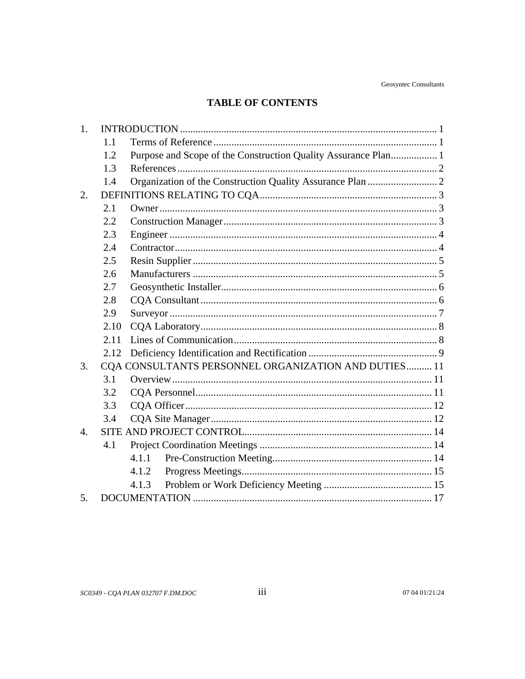# **TABLE OF CONTENTS**

| 1.               |      |                                                                |  |  |  |
|------------------|------|----------------------------------------------------------------|--|--|--|
|                  | 1.1  |                                                                |  |  |  |
|                  | 1.2  | Purpose and Scope of the Construction Quality Assurance Plan 1 |  |  |  |
|                  | 1.3  |                                                                |  |  |  |
|                  | 1.4  |                                                                |  |  |  |
| 2.               |      |                                                                |  |  |  |
|                  | 2.1  |                                                                |  |  |  |
|                  | 2.2  |                                                                |  |  |  |
|                  | 2.3  |                                                                |  |  |  |
|                  | 2.4  |                                                                |  |  |  |
|                  | 2.5  |                                                                |  |  |  |
|                  | 2.6  |                                                                |  |  |  |
|                  | 2.7  |                                                                |  |  |  |
|                  | 2.8  |                                                                |  |  |  |
|                  | 2.9  |                                                                |  |  |  |
|                  | 2.10 |                                                                |  |  |  |
|                  | 2.11 |                                                                |  |  |  |
|                  | 2.12 |                                                                |  |  |  |
| 3.               |      | CQA CONSULTANTS PERSONNEL ORGANIZATION AND DUTIES 11           |  |  |  |
|                  | 3.1  |                                                                |  |  |  |
|                  | 3.2  |                                                                |  |  |  |
|                  | 3.3  |                                                                |  |  |  |
|                  | 3.4  |                                                                |  |  |  |
| $\overline{4}$ . |      |                                                                |  |  |  |
|                  | 4.1  |                                                                |  |  |  |
|                  |      | 4.1.1                                                          |  |  |  |
|                  |      | 4.1.2                                                          |  |  |  |
|                  |      | 4.1.3                                                          |  |  |  |
| 5.               |      |                                                                |  |  |  |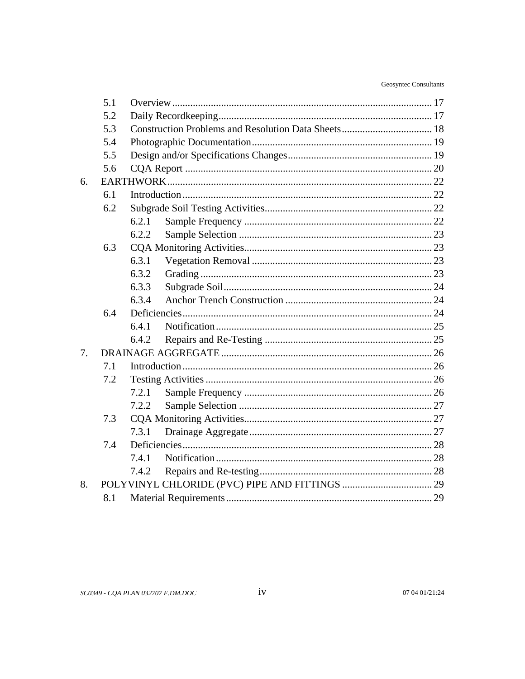|    | 5.1 |       |  |  |
|----|-----|-------|--|--|
|    | 5.2 |       |  |  |
|    | 5.3 |       |  |  |
|    | 5.4 |       |  |  |
|    | 5.5 |       |  |  |
|    | 5.6 |       |  |  |
| 6. |     |       |  |  |
|    | 6.1 |       |  |  |
|    | 6.2 |       |  |  |
|    |     | 6.2.1 |  |  |
|    |     | 6.2.2 |  |  |
|    | 6.3 |       |  |  |
|    |     | 6.3.1 |  |  |
|    |     | 6.3.2 |  |  |
|    |     | 6.3.3 |  |  |
|    |     | 6.3.4 |  |  |
|    | 6.4 |       |  |  |
|    |     | 6.4.1 |  |  |
|    |     | 6.4.2 |  |  |
| 7. |     |       |  |  |
|    | 7.1 |       |  |  |
|    | 7.2 |       |  |  |
|    |     | 7.2.1 |  |  |
|    |     | 7.2.2 |  |  |
|    | 7.3 |       |  |  |
|    |     | 7.3.1 |  |  |
|    | 7.4 |       |  |  |
|    |     | 7.4.1 |  |  |
|    |     | 7.4.2 |  |  |
| 8. |     |       |  |  |
|    | 8.1 |       |  |  |
|    |     |       |  |  |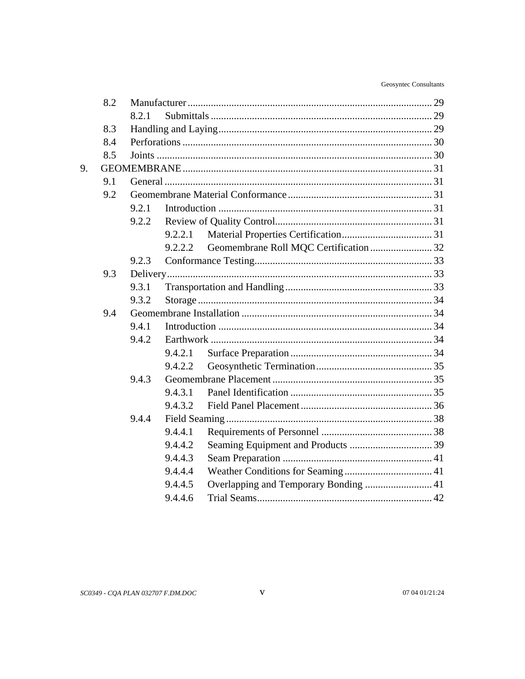|    | 8.2 |       |         |                                        |  |  |
|----|-----|-------|---------|----------------------------------------|--|--|
|    |     | 8.2.1 |         |                                        |  |  |
|    | 8.3 |       |         |                                        |  |  |
|    | 8.4 |       |         |                                        |  |  |
|    | 8.5 |       |         |                                        |  |  |
| 9. |     |       |         |                                        |  |  |
|    | 9.1 |       |         |                                        |  |  |
|    | 9.2 |       |         |                                        |  |  |
|    |     | 9.2.1 |         |                                        |  |  |
|    |     | 9.2.2 |         |                                        |  |  |
|    |     |       | 9.2.2.1 |                                        |  |  |
|    |     |       | 9.2.2.2 | Geomembrane Roll MQC Certification  32 |  |  |
|    |     | 9.2.3 |         |                                        |  |  |
|    | 9.3 |       |         |                                        |  |  |
|    |     | 9.3.1 |         |                                        |  |  |
|    |     | 9.3.2 |         |                                        |  |  |
|    | 9.4 |       |         |                                        |  |  |
|    |     | 9.4.1 |         |                                        |  |  |
|    |     | 9.4.2 |         |                                        |  |  |
|    |     |       | 9.4.2.1 |                                        |  |  |
|    |     |       | 9.4.2.2 |                                        |  |  |
|    |     | 9.4.3 |         |                                        |  |  |
|    |     |       | 9.4.3.1 |                                        |  |  |
|    |     |       | 9.4.3.2 |                                        |  |  |
|    |     | 9.4.4 |         |                                        |  |  |
|    |     |       | 9.4.4.1 |                                        |  |  |
|    |     |       | 9.4.4.2 |                                        |  |  |
|    |     |       | 9.4.4.3 |                                        |  |  |
|    |     |       | 9.4.4.4 |                                        |  |  |
|    |     |       | 9.4.4.5 |                                        |  |  |
|    |     |       | 9.4.4.6 |                                        |  |  |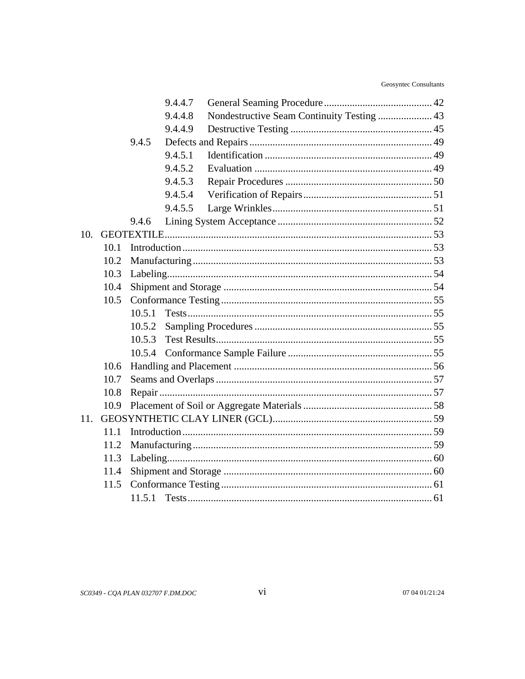|     |      |        | 9.4.4.7 |                                            |  |
|-----|------|--------|---------|--------------------------------------------|--|
|     |      |        | 9.4.4.8 | Nondestructive Seam Continuity Testing  43 |  |
|     |      |        | 9.4.4.9 |                                            |  |
|     |      | 9.4.5  |         |                                            |  |
|     |      |        | 9.4.5.1 |                                            |  |
|     |      |        | 9.4.5.2 |                                            |  |
|     |      |        | 9.4.5.3 |                                            |  |
|     |      |        | 9.4.5.4 |                                            |  |
|     |      |        | 9.4.5.5 |                                            |  |
|     |      | 9.4.6  |         |                                            |  |
| 10. |      |        |         |                                            |  |
|     | 10.1 |        |         |                                            |  |
|     | 10.2 |        |         |                                            |  |
|     | 10.3 |        |         |                                            |  |
|     | 10.4 |        |         |                                            |  |
|     | 10.5 |        |         |                                            |  |
|     |      | 10.5.1 |         |                                            |  |
|     |      | 10.5.2 |         |                                            |  |
|     |      | 10.5.3 |         |                                            |  |
|     |      | 10.5.4 |         |                                            |  |
|     | 10.6 |        |         |                                            |  |
|     | 10.7 |        |         |                                            |  |
|     | 10.8 |        |         |                                            |  |
|     | 10.9 |        |         |                                            |  |
| 11. |      |        |         |                                            |  |
|     | 11.1 |        |         |                                            |  |
|     | 11.2 |        |         |                                            |  |
|     | 11.3 |        |         |                                            |  |
|     | 11.4 |        |         |                                            |  |
|     | 11.5 |        |         |                                            |  |
|     |      | 11.5.1 |         |                                            |  |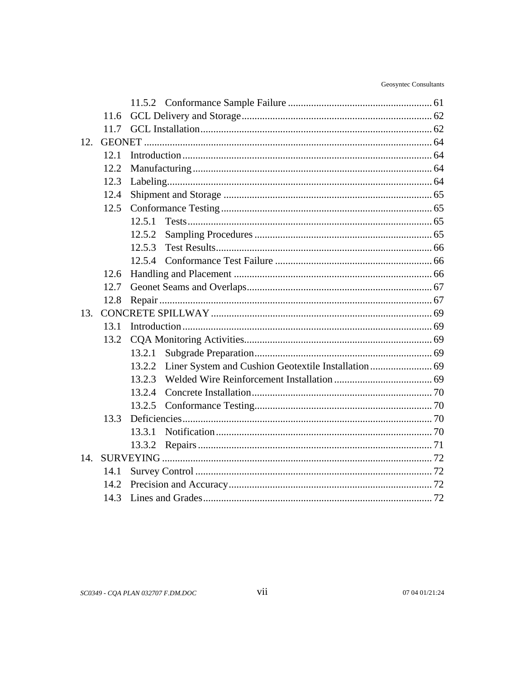|     | 11.6 |        |  |  |  |
|-----|------|--------|--|--|--|
|     | 11.7 |        |  |  |  |
| 12. |      |        |  |  |  |
|     | 12.1 |        |  |  |  |
|     | 12.2 |        |  |  |  |
|     | 12.3 |        |  |  |  |
|     | 12.4 |        |  |  |  |
|     | 12.5 |        |  |  |  |
|     |      | 12.5.1 |  |  |  |
|     |      | 12.5.2 |  |  |  |
|     |      | 12.5.3 |  |  |  |
|     |      | 12.5.4 |  |  |  |
|     | 12.6 |        |  |  |  |
|     | 12.7 |        |  |  |  |
|     | 12.8 |        |  |  |  |
| 13. |      |        |  |  |  |
|     | 13.1 |        |  |  |  |
|     | 13.2 |        |  |  |  |
|     |      | 13.2.1 |  |  |  |
|     |      | 13.2.2 |  |  |  |
|     |      | 13.2.3 |  |  |  |
|     |      | 13.2.4 |  |  |  |
|     |      |        |  |  |  |
|     | 13.3 |        |  |  |  |
|     |      | 13.3.1 |  |  |  |
|     |      | 13.3.2 |  |  |  |
| 14. |      |        |  |  |  |
|     | 14.1 |        |  |  |  |
|     | 14.2 |        |  |  |  |
|     | 14.3 |        |  |  |  |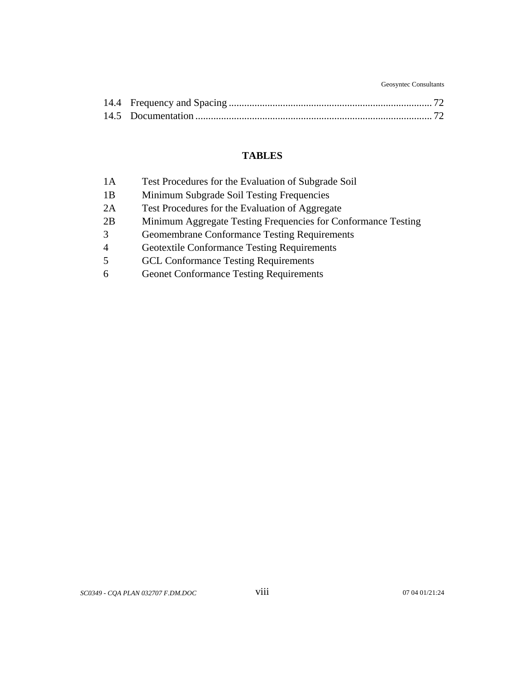Geosyntec Consultants

## **TABLES**

| 1A             | Test Procedures for the Evaluation of Subgrade Soil           |
|----------------|---------------------------------------------------------------|
| 1B             | Minimum Subgrade Soil Testing Frequencies                     |
| 2A             | Test Procedures for the Evaluation of Aggregate               |
| 2B             | Minimum Aggregate Testing Frequencies for Conformance Testing |
| 3              | <b>Geomembrane Conformance Testing Requirements</b>           |
| $\overline{4}$ | <b>Geotextile Conformance Testing Requirements</b>            |
| 5              | <b>GCL Conformance Testing Requirements</b>                   |
| 6              | <b>Geonet Conformance Testing Requirements</b>                |

*SC0349 - CQA PLAN 032707 F.DM.DOC* viii 07 04 01/21:24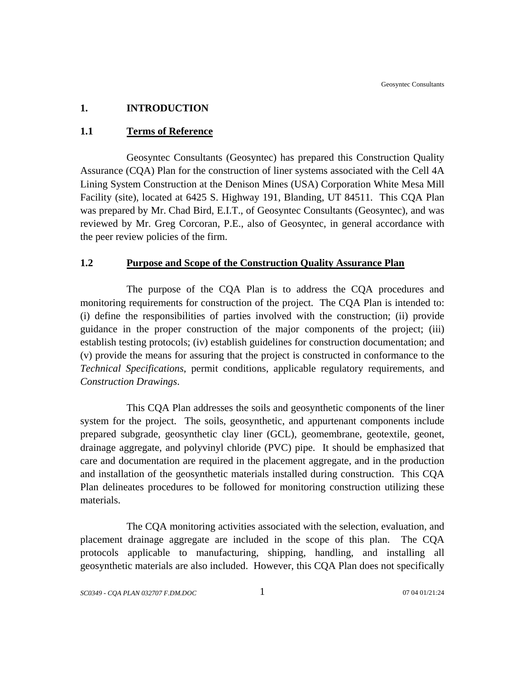## **1. INTRODUCTION**

#### **1.1 Terms of Reference**

Geosyntec Consultants (Geosyntec) has prepared this Construction Quality Assurance (CQA) Plan for the construction of liner systems associated with the Cell 4A Lining System Construction at the Denison Mines (USA) Corporation White Mesa Mill Facility (site), located at 6425 S. Highway 191, Blanding, UT 84511. This CQA Plan was prepared by Mr. Chad Bird, E.I.T., of Geosyntec Consultants (Geosyntec), and was reviewed by Mr. Greg Corcoran, P.E., also of Geosyntec, in general accordance with the peer review policies of the firm.

#### **1.2 Purpose and Scope of the Construction Quality Assurance Plan**

The purpose of the CQA Plan is to address the CQA procedures and monitoring requirements for construction of the project. The CQA Plan is intended to: (i) define the responsibilities of parties involved with the construction; (ii) provide guidance in the proper construction of the major components of the project; (iii) establish testing protocols; (iv) establish guidelines for construction documentation; and (v) provide the means for assuring that the project is constructed in conformance to the *Technical Specifications*, permit conditions, applicable regulatory requirements, and *Construction Drawings*.

This CQA Plan addresses the soils and geosynthetic components of the liner system for the project. The soils, geosynthetic, and appurtenant components include prepared subgrade, geosynthetic clay liner (GCL), geomembrane, geotextile, geonet, drainage aggregate, and polyvinyl chloride (PVC) pipe. It should be emphasized that care and documentation are required in the placement aggregate, and in the production and installation of the geosynthetic materials installed during construction. This CQA Plan delineates procedures to be followed for monitoring construction utilizing these materials.

The CQA monitoring activities associated with the selection, evaluation, and placement drainage aggregate are included in the scope of this plan. The CQA protocols applicable to manufacturing, shipping, handling, and installing all geosynthetic materials are also included. However, this CQA Plan does not specifically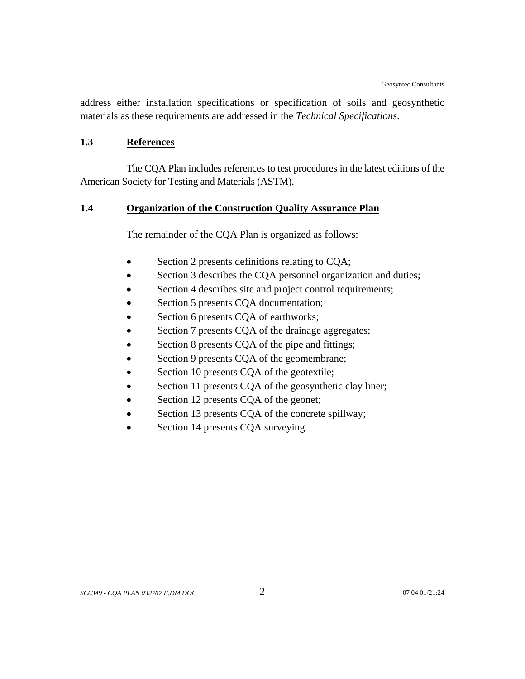address either installation specifications or specification of soils and geosynthetic materials as these requirements are addressed in the *Technical Specifications*.

#### **1.3 References**

The CQA Plan includes references to test procedures in the latest editions of the American Society for Testing and Materials (ASTM).

## **1.4 Organization of the Construction Quality Assurance Plan**

The remainder of the CQA Plan is organized as follows:

- Section 2 presents definitions relating to CQA;
- Section 3 describes the CQA personnel organization and duties;
- Section 4 describes site and project control requirements;
- Section 5 presents CQA documentation;
- Section 6 presents CQA of earthworks;
- Section 7 presents CQA of the drainage aggregates;
- Section 8 presents CQA of the pipe and fittings;
- Section 9 presents CQA of the geomembrane;
- Section 10 presents CQA of the geotextile;
- Section 11 presents CQA of the geosynthetic clay liner;
- Section 12 presents CQA of the geonet;
- Section 13 presents CQA of the concrete spillway;
- Section 14 presents CQA surveying.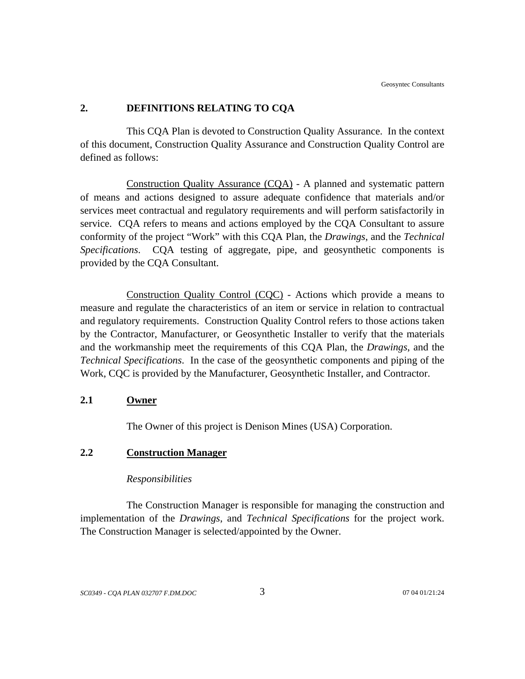#### **2. DEFINITIONS RELATING TO CQA**

This CQA Plan is devoted to Construction Quality Assurance. In the context of this document, Construction Quality Assurance and Construction Quality Control are defined as follows:

Construction Quality Assurance (CQA) - A planned and systematic pattern of means and actions designed to assure adequate confidence that materials and/or services meet contractual and regulatory requirements and will perform satisfactorily in service. CQA refers to means and actions employed by the CQA Consultant to assure conformity of the project "Work" with this CQA Plan, the *Drawings*, and the *Technical Specifications*. CQA testing of aggregate, pipe, and geosynthetic components is provided by the CQA Consultant.

Construction Quality Control (CQC) - Actions which provide a means to measure and regulate the characteristics of an item or service in relation to contractual and regulatory requirements. Construction Quality Control refers to those actions taken by the Contractor, Manufacturer, or Geosynthetic Installer to verify that the materials and the workmanship meet the requirements of this CQA Plan, the *Drawings*, and the *Technical Specifications*. In the case of the geosynthetic components and piping of the Work, CQC is provided by the Manufacturer, Geosynthetic Installer, and Contractor.

#### **2.1 Owner**

The Owner of this project is Denison Mines (USA) Corporation.

## **2.2 Construction Manager**

#### *Responsibilities*

The Construction Manager is responsible for managing the construction and implementation of the *Drawings*, and *Technical Specifications* for the project work. The Construction Manager is selected/appointed by the Owner.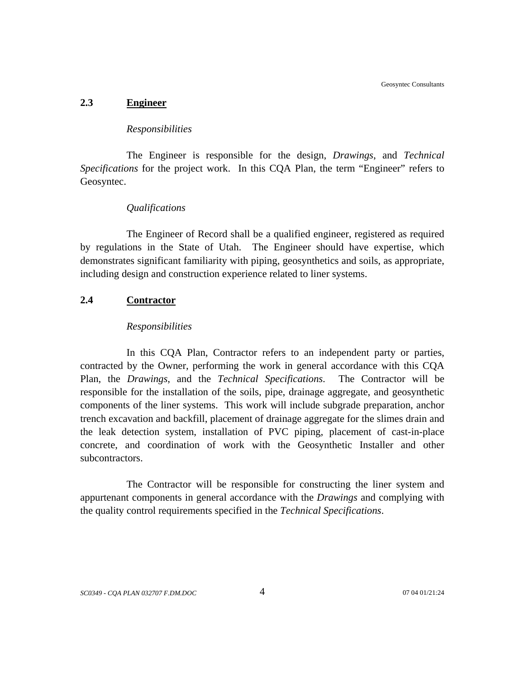Geosyntec Consultants

#### **2.3 Engineer**

#### *Responsibilities*

The Engineer is responsible for the design, *Drawings*, and *Technical Specifications* for the project work. In this CQA Plan, the term "Engineer" refers to Geosyntec.

#### *Qualifications*

The Engineer of Record shall be a qualified engineer, registered as required by regulations in the State of Utah. The Engineer should have expertise, which demonstrates significant familiarity with piping, geosynthetics and soils, as appropriate, including design and construction experience related to liner systems.

#### **2.4 Contractor**

#### *Responsibilities*

In this CQA Plan, Contractor refers to an independent party or parties, contracted by the Owner, performing the work in general accordance with this CQA Plan, the *Drawings*, and the *Technical Specifications*. The Contractor will be responsible for the installation of the soils, pipe, drainage aggregate, and geosynthetic components of the liner systems. This work will include subgrade preparation, anchor trench excavation and backfill, placement of drainage aggregate for the slimes drain and the leak detection system, installation of PVC piping, placement of cast-in-place concrete, and coordination of work with the Geosynthetic Installer and other subcontractors.

The Contractor will be responsible for constructing the liner system and appurtenant components in general accordance with the *Drawings* and complying with the quality control requirements specified in the *Technical Specifications*.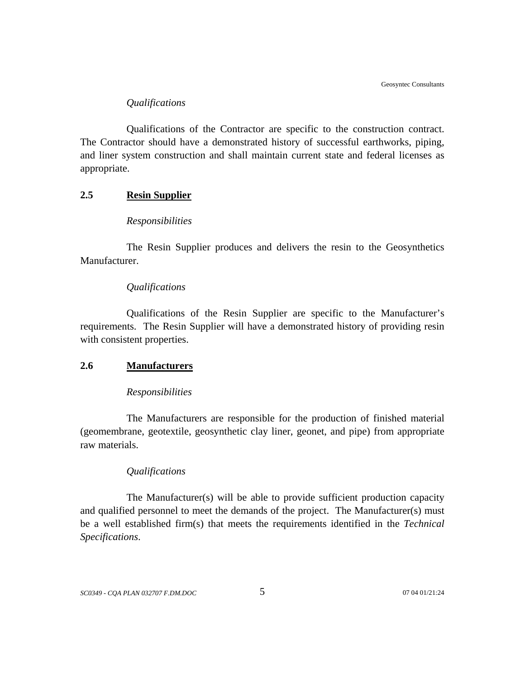#### *Qualifications*

Qualifications of the Contractor are specific to the construction contract. The Contractor should have a demonstrated history of successful earthworks, piping, and liner system construction and shall maintain current state and federal licenses as appropriate.

## **2.5 Resin Supplier**

#### *Responsibilities*

The Resin Supplier produces and delivers the resin to the Geosynthetics Manufacturer.

#### *Qualifications*

Qualifications of the Resin Supplier are specific to the Manufacturer's requirements. The Resin Supplier will have a demonstrated history of providing resin with consistent properties.

#### **2.6 Manufacturers**

#### *Responsibilities*

The Manufacturers are responsible for the production of finished material (geomembrane, geotextile, geosynthetic clay liner, geonet, and pipe) from appropriate raw materials.

#### *Qualifications*

The Manufacturer(s) will be able to provide sufficient production capacity and qualified personnel to meet the demands of the project. The Manufacturer(s) must be a well established firm(s) that meets the requirements identified in the *Technical Specifications*.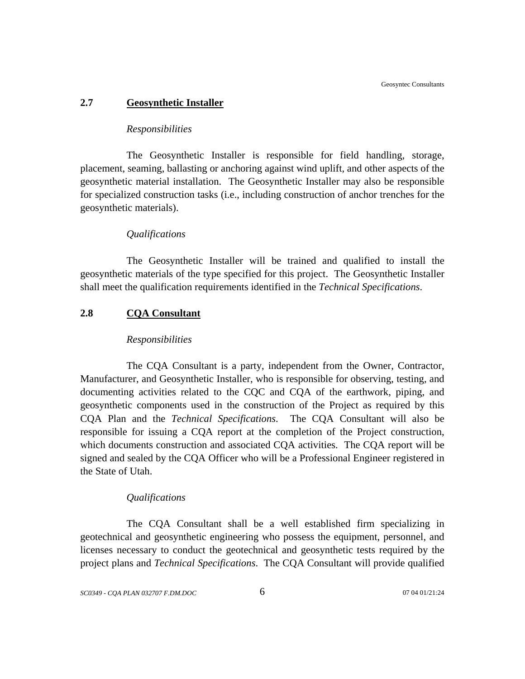#### **2.7 Geosynthetic Installer**

#### *Responsibilities*

The Geosynthetic Installer is responsible for field handling, storage, placement, seaming, ballasting or anchoring against wind uplift, and other aspects of the geosynthetic material installation. The Geosynthetic Installer may also be responsible for specialized construction tasks (i.e., including construction of anchor trenches for the geosynthetic materials).

#### *Qualifications*

The Geosynthetic Installer will be trained and qualified to install the geosynthetic materials of the type specified for this project. The Geosynthetic Installer shall meet the qualification requirements identified in the *Technical Specifications*.

## **2.8 CQA Consultant**

#### *Responsibilities*

The CQA Consultant is a party, independent from the Owner, Contractor, Manufacturer, and Geosynthetic Installer, who is responsible for observing, testing, and documenting activities related to the CQC and CQA of the earthwork, piping, and geosynthetic components used in the construction of the Project as required by this CQA Plan and the *Technical Specifications*. The CQA Consultant will also be responsible for issuing a CQA report at the completion of the Project construction, which documents construction and associated CQA activities. The CQA report will be signed and sealed by the CQA Officer who will be a Professional Engineer registered in the State of Utah.

#### *Qualifications*

The CQA Consultant shall be a well established firm specializing in geotechnical and geosynthetic engineering who possess the equipment, personnel, and licenses necessary to conduct the geotechnical and geosynthetic tests required by the project plans and *Technical Specifications*. The CQA Consultant will provide qualified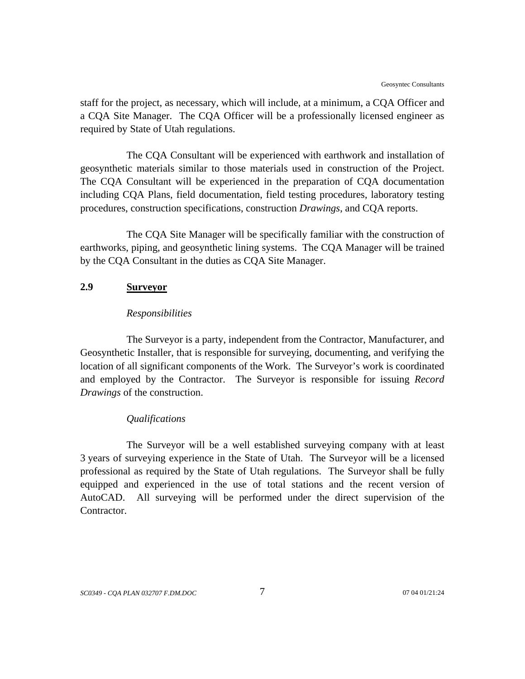staff for the project, as necessary, which will include, at a minimum, a CQA Officer and a CQA Site Manager. The CQA Officer will be a professionally licensed engineer as required by State of Utah regulations.

The CQA Consultant will be experienced with earthwork and installation of geosynthetic materials similar to those materials used in construction of the Project. The CQA Consultant will be experienced in the preparation of CQA documentation including CQA Plans, field documentation, field testing procedures, laboratory testing procedures, construction specifications, construction *Drawings*, and CQA reports.

The CQA Site Manager will be specifically familiar with the construction of earthworks, piping, and geosynthetic lining systems. The CQA Manager will be trained by the CQA Consultant in the duties as CQA Site Manager.

#### **2.9 Surveyor**

#### *Responsibilities*

The Surveyor is a party, independent from the Contractor, Manufacturer, and Geosynthetic Installer, that is responsible for surveying, documenting, and verifying the location of all significant components of the Work. The Surveyor's work is coordinated and employed by the Contractor. The Surveyor is responsible for issuing *Record Drawings* of the construction.

#### *Qualifications*

The Surveyor will be a well established surveying company with at least 3 years of surveying experience in the State of Utah. The Surveyor will be a licensed professional as required by the State of Utah regulations. The Surveyor shall be fully equipped and experienced in the use of total stations and the recent version of AutoCAD. All surveying will be performed under the direct supervision of the Contractor.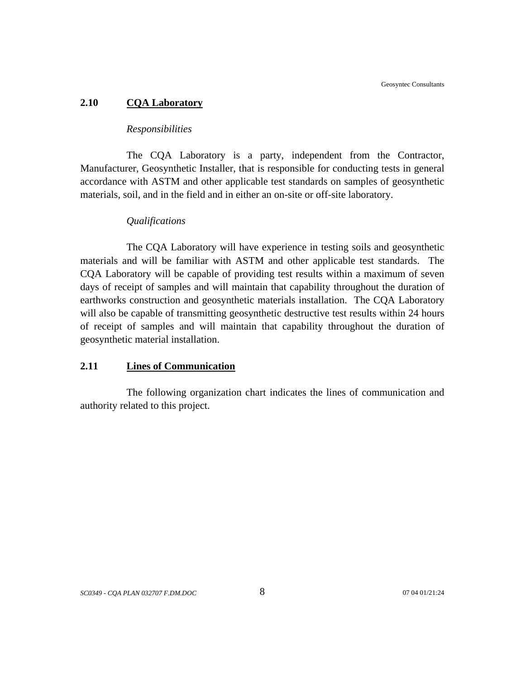#### **2.10 CQA Laboratory**

#### *Responsibilities*

The CQA Laboratory is a party, independent from the Contractor, Manufacturer, Geosynthetic Installer, that is responsible for conducting tests in general accordance with ASTM and other applicable test standards on samples of geosynthetic materials, soil, and in the field and in either an on-site or off-site laboratory.

#### *Qualifications*

The CQA Laboratory will have experience in testing soils and geosynthetic materials and will be familiar with ASTM and other applicable test standards. The CQA Laboratory will be capable of providing test results within a maximum of seven days of receipt of samples and will maintain that capability throughout the duration of earthworks construction and geosynthetic materials installation. The CQA Laboratory will also be capable of transmitting geosynthetic destructive test results within 24 hours of receipt of samples and will maintain that capability throughout the duration of geosynthetic material installation.

#### **2.11 Lines of Communication**

The following organization chart indicates the lines of communication and authority related to this project.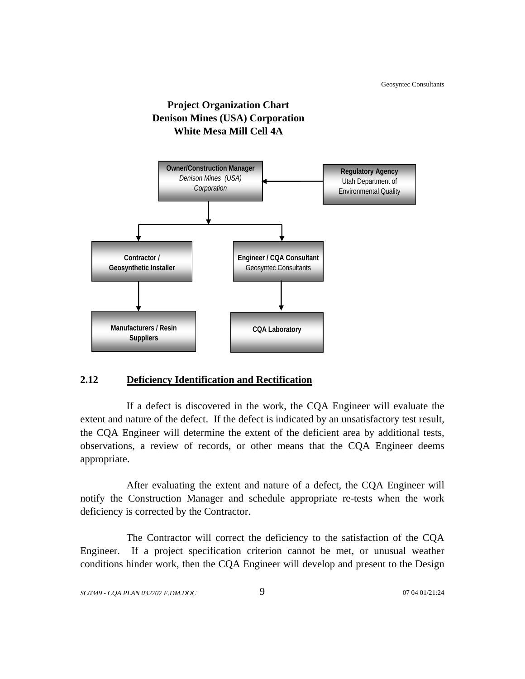

## **Project Organization Chart Denison Mines (USA) Corporation White Mesa Mill Cell 4A**

## **2.12 Deficiency Identification and Rectification**

If a defect is discovered in the work, the CQA Engineer will evaluate the extent and nature of the defect. If the defect is indicated by an unsatisfactory test result, the CQA Engineer will determine the extent of the deficient area by additional tests, observations, a review of records, or other means that the CQA Engineer deems appropriate.

After evaluating the extent and nature of a defect, the CQA Engineer will notify the Construction Manager and schedule appropriate re-tests when the work deficiency is corrected by the Contractor.

The Contractor will correct the deficiency to the satisfaction of the CQA Engineer. If a project specification criterion cannot be met, or unusual weather conditions hinder work, then the CQA Engineer will develop and present to the Design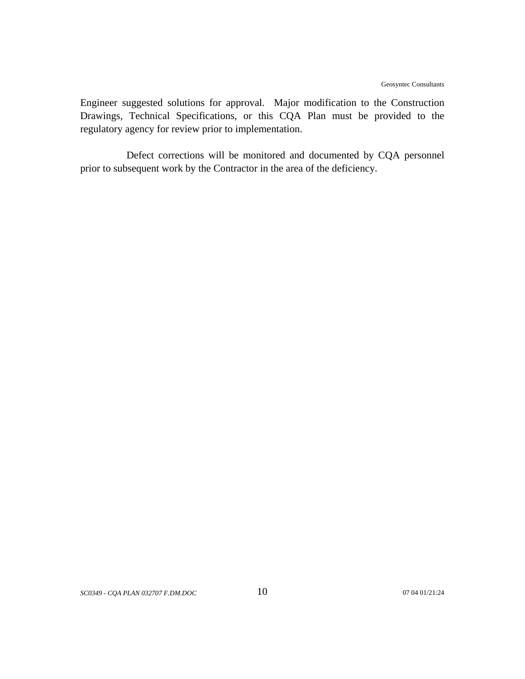Engineer suggested solutions for approval. Major modification to the Construction Drawings, Technical Specifications, or this CQA Plan must be provided to the regulatory agency for review prior to implementation.

Defect corrections will be monitored and documented by CQA personnel prior to subsequent work by the Contractor in the area of the deficiency.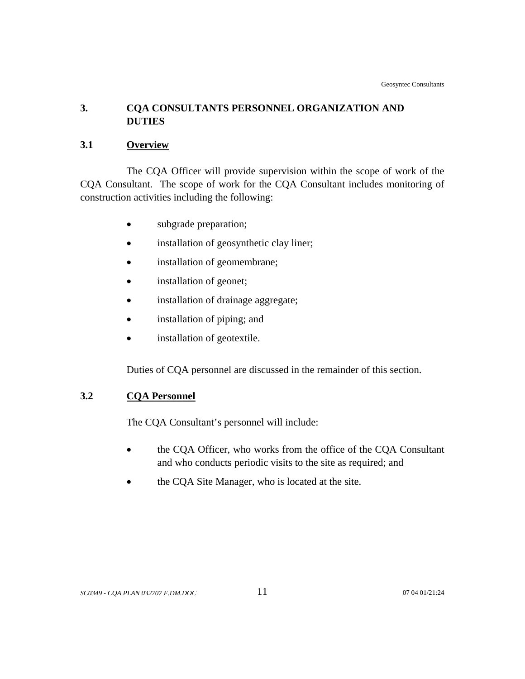## **3. CQA CONSULTANTS PERSONNEL ORGANIZATION AND DUTIES**

## **3.1 Overview**

The CQA Officer will provide supervision within the scope of work of the CQA Consultant. The scope of work for the CQA Consultant includes monitoring of construction activities including the following:

- subgrade preparation;
- installation of geosynthetic clay liner;
- installation of geomembrane;
- installation of geonet;
- installation of drainage aggregate;
- installation of piping; and
- installation of geotextile.

Duties of CQA personnel are discussed in the remainder of this section.

## **3.2 CQA Personnel**

The CQA Consultant's personnel will include:

- the CQA Officer, who works from the office of the CQA Consultant and who conducts periodic visits to the site as required; and
- the CQA Site Manager, who is located at the site.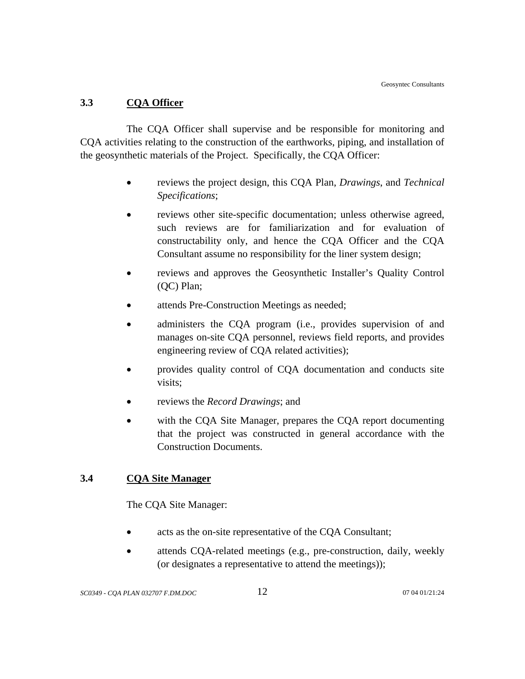## **3.3 CQA Officer**

The CQA Officer shall supervise and be responsible for monitoring and CQA activities relating to the construction of the earthworks, piping, and installation of the geosynthetic materials of the Project. Specifically, the CQA Officer:

- reviews the project design, this CQA Plan, *Drawings*, and *Technical Specifications*;
- reviews other site-specific documentation; unless otherwise agreed, such reviews are for familiarization and for evaluation of constructability only, and hence the CQA Officer and the CQA Consultant assume no responsibility for the liner system design;
- reviews and approves the Geosynthetic Installer's Quality Control (QC) Plan;
- attends Pre-Construction Meetings as needed;
- administers the CQA program (i.e., provides supervision of and manages on-site CQA personnel, reviews field reports, and provides engineering review of CQA related activities);
- provides quality control of CQA documentation and conducts site visits;
- reviews the *Record Drawings*; and
- with the COA Site Manager, prepares the COA report documenting that the project was constructed in general accordance with the Construction Documents.

## **3.4 CQA Site Manager**

The CQA Site Manager:

- acts as the on-site representative of the CQA Consultant;
- attends CQA-related meetings (e.g., pre-construction, daily, weekly (or designates a representative to attend the meetings));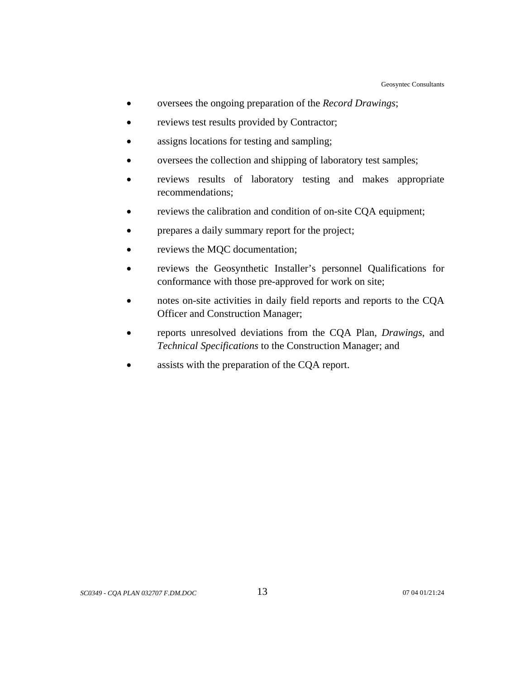- oversees the ongoing preparation of the *Record Drawings*;
- reviews test results provided by Contractor;
- assigns locations for testing and sampling;
- oversees the collection and shipping of laboratory test samples;
- reviews results of laboratory testing and makes appropriate recommendations;
- reviews the calibration and condition of on-site CQA equipment;
- prepares a daily summary report for the project;
- reviews the MQC documentation;
- reviews the Geosynthetic Installer's personnel Qualifications for conformance with those pre-approved for work on site;
- notes on-site activities in daily field reports and reports to the CQA Officer and Construction Manager;
- reports unresolved deviations from the CQA Plan, *Drawings*, and *Technical Specifications* to the Construction Manager; and
- assists with the preparation of the CQA report.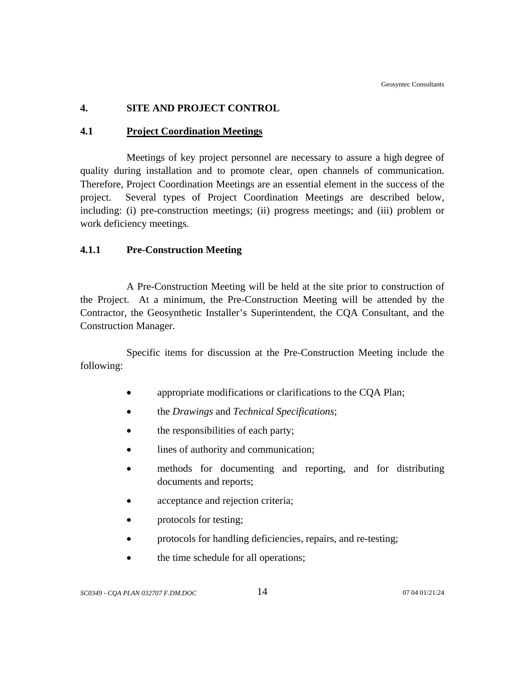## **4. SITE AND PROJECT CONTROL**

## **4.1 Project Coordination Meetings**

Meetings of key project personnel are necessary to assure a high degree of quality during installation and to promote clear, open channels of communication. Therefore, Project Coordination Meetings are an essential element in the success of the project. Several types of Project Coordination Meetings are described below, including: (i) pre-construction meetings; (ii) progress meetings; and (iii) problem or work deficiency meetings.

## **4.1.1 Pre-Construction Meeting**

A Pre-Construction Meeting will be held at the site prior to construction of the Project. At a minimum, the Pre-Construction Meeting will be attended by the Contractor, the Geosynthetic Installer's Superintendent, the CQA Consultant, and the Construction Manager.

Specific items for discussion at the Pre-Construction Meeting include the following:

- appropriate modifications or clarifications to the CQA Plan;
- the *Drawings* and *Technical Specifications*;
- the responsibilities of each party;
- lines of authority and communication;
- methods for documenting and reporting, and for distributing documents and reports;
- acceptance and rejection criteria;
- protocols for testing;
- protocols for handling deficiencies, repairs, and re-testing;
- the time schedule for all operations;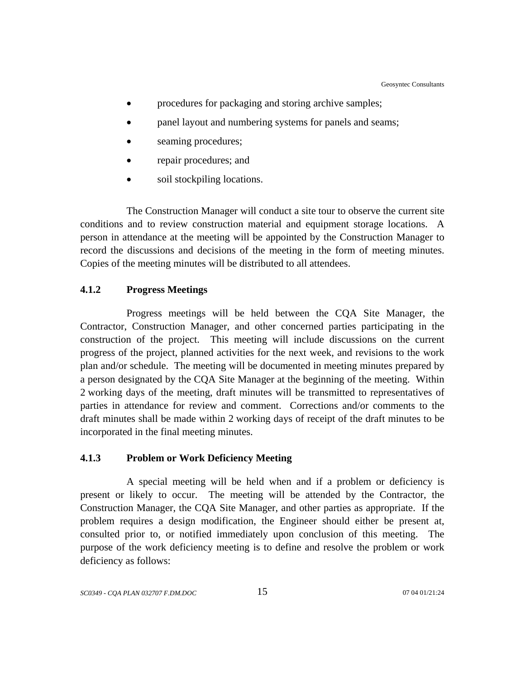- procedures for packaging and storing archive samples;
- panel layout and numbering systems for panels and seams;
- seaming procedures;
- repair procedures; and
- soil stockpiling locations.

The Construction Manager will conduct a site tour to observe the current site conditions and to review construction material and equipment storage locations. A person in attendance at the meeting will be appointed by the Construction Manager to record the discussions and decisions of the meeting in the form of meeting minutes. Copies of the meeting minutes will be distributed to all attendees.

## **4.1.2 Progress Meetings**

Progress meetings will be held between the CQA Site Manager, the Contractor, Construction Manager, and other concerned parties participating in the construction of the project. This meeting will include discussions on the current progress of the project, planned activities for the next week, and revisions to the work plan and/or schedule. The meeting will be documented in meeting minutes prepared by a person designated by the CQA Site Manager at the beginning of the meeting. Within 2 working days of the meeting, draft minutes will be transmitted to representatives of parties in attendance for review and comment. Corrections and/or comments to the draft minutes shall be made within 2 working days of receipt of the draft minutes to be incorporated in the final meeting minutes.

#### **4.1.3 Problem or Work Deficiency Meeting**

A special meeting will be held when and if a problem or deficiency is present or likely to occur. The meeting will be attended by the Contractor, the Construction Manager, the CQA Site Manager, and other parties as appropriate. If the problem requires a design modification, the Engineer should either be present at, consulted prior to, or notified immediately upon conclusion of this meeting. The purpose of the work deficiency meeting is to define and resolve the problem or work deficiency as follows: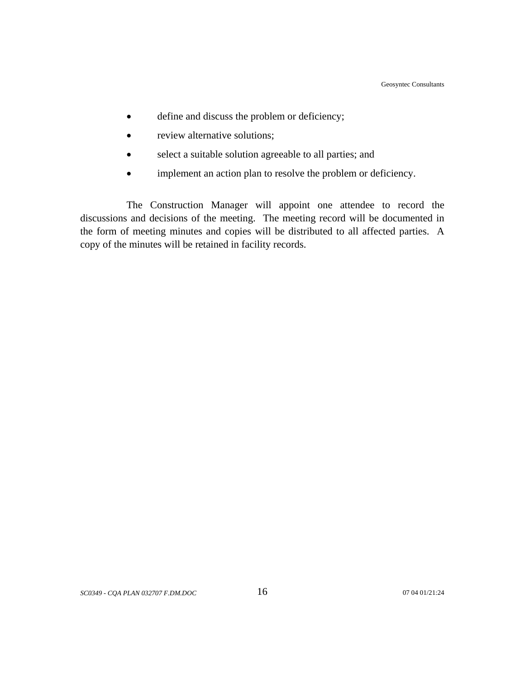- define and discuss the problem or deficiency;
- review alternative solutions;
- select a suitable solution agreeable to all parties; and
- implement an action plan to resolve the problem or deficiency.

The Construction Manager will appoint one attendee to record the discussions and decisions of the meeting. The meeting record will be documented in the form of meeting minutes and copies will be distributed to all affected parties. A copy of the minutes will be retained in facility records.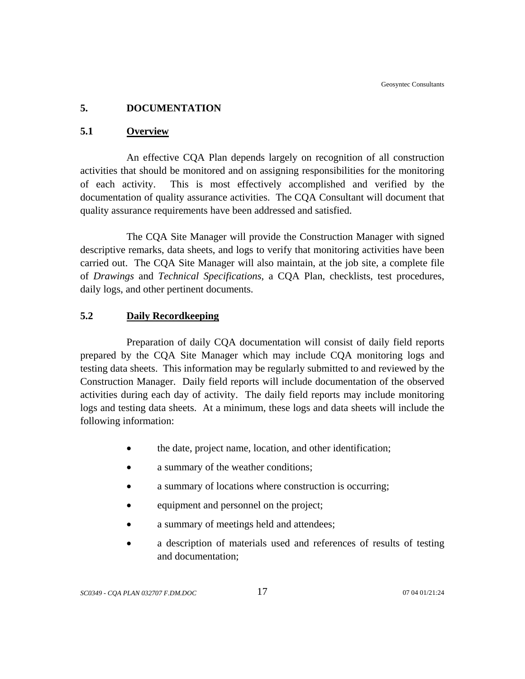## **5. DOCUMENTATION**

## **5.1 Overview**

An effective CQA Plan depends largely on recognition of all construction activities that should be monitored and on assigning responsibilities for the monitoring of each activity. This is most effectively accomplished and verified by the documentation of quality assurance activities. The CQA Consultant will document that quality assurance requirements have been addressed and satisfied.

The CQA Site Manager will provide the Construction Manager with signed descriptive remarks, data sheets, and logs to verify that monitoring activities have been carried out. The CQA Site Manager will also maintain, at the job site, a complete file of *Drawings* and *Technical Specifications*, a CQA Plan, checklists, test procedures, daily logs, and other pertinent documents.

## **5.2 Daily Recordkeeping**

Preparation of daily CQA documentation will consist of daily field reports prepared by the CQA Site Manager which may include CQA monitoring logs and testing data sheets. This information may be regularly submitted to and reviewed by the Construction Manager. Daily field reports will include documentation of the observed activities during each day of activity. The daily field reports may include monitoring logs and testing data sheets. At a minimum, these logs and data sheets will include the following information:

- the date, project name, location, and other identification;
- a summary of the weather conditions;
- a summary of locations where construction is occurring:
- equipment and personnel on the project;
- a summary of meetings held and attendees;
- a description of materials used and references of results of testing and documentation;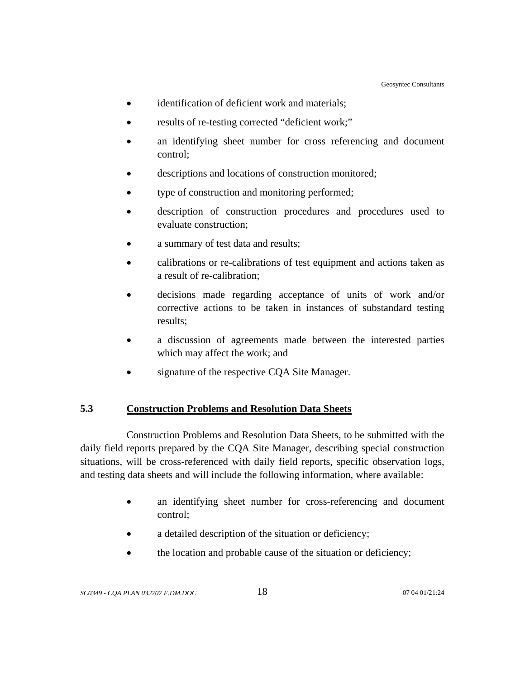- identification of deficient work and materials;
- results of re-testing corrected "deficient work;"
- an identifying sheet number for cross referencing and document control;
- descriptions and locations of construction monitored;
- type of construction and monitoring performed;
- description of construction procedures and procedures used to evaluate construction;
- a summary of test data and results;
- calibrations or re-calibrations of test equipment and actions taken as a result of re-calibration;
- decisions made regarding acceptance of units of work and/or corrective actions to be taken in instances of substandard testing results;
- a discussion of agreements made between the interested parties which may affect the work; and
- signature of the respective CQA Site Manager.

## **5.3 Construction Problems and Resolution Data Sheets**

Construction Problems and Resolution Data Sheets, to be submitted with the daily field reports prepared by the CQA Site Manager, describing special construction situations, will be cross-referenced with daily field reports, specific observation logs, and testing data sheets and will include the following information, where available:

- an identifying sheet number for cross-referencing and document control;
- a detailed description of the situation or deficiency;
- the location and probable cause of the situation or deficiency;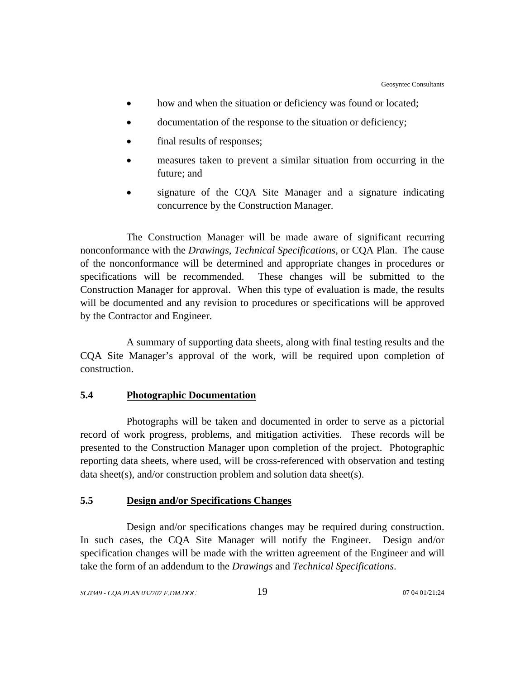- how and when the situation or deficiency was found or located;
- documentation of the response to the situation or deficiency;
- final results of responses;
- measures taken to prevent a similar situation from occurring in the future; and
- signature of the CQA Site Manager and a signature indicating concurrence by the Construction Manager.

The Construction Manager will be made aware of significant recurring nonconformance with the *Drawings*, *Technical Specifications*, or CQA Plan. The cause of the nonconformance will be determined and appropriate changes in procedures or specifications will be recommended. These changes will be submitted to the Construction Manager for approval. When this type of evaluation is made, the results will be documented and any revision to procedures or specifications will be approved by the Contractor and Engineer.

A summary of supporting data sheets, along with final testing results and the CQA Site Manager's approval of the work, will be required upon completion of construction.

#### **5.4 Photographic Documentation**

Photographs will be taken and documented in order to serve as a pictorial record of work progress, problems, and mitigation activities. These records will be presented to the Construction Manager upon completion of the project. Photographic reporting data sheets, where used, will be cross-referenced with observation and testing data sheet(s), and/or construction problem and solution data sheet(s).

## **5.5 Design and/or Specifications Changes**

Design and/or specifications changes may be required during construction. In such cases, the CQA Site Manager will notify the Engineer. Design and/or specification changes will be made with the written agreement of the Engineer and will take the form of an addendum to the *Drawings* and *Technical Specifications*.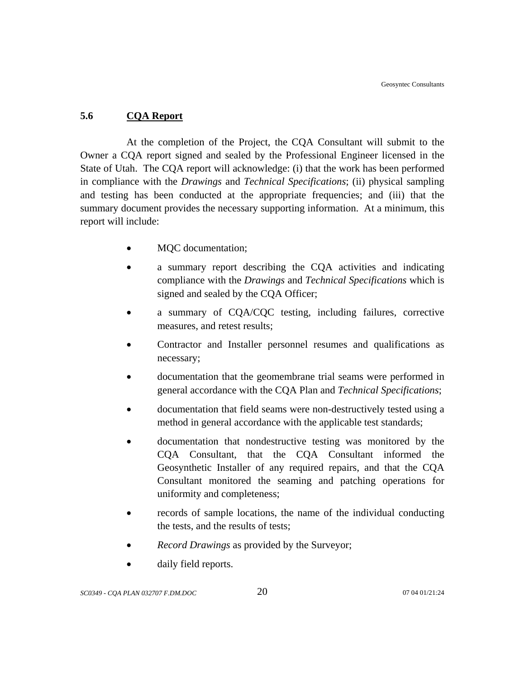## **5.6 CQA Report**

At the completion of the Project, the CQA Consultant will submit to the Owner a CQA report signed and sealed by the Professional Engineer licensed in the State of Utah. The CQA report will acknowledge: (i) that the work has been performed in compliance with the *Drawings* and *Technical Specifications*; (ii) physical sampling and testing has been conducted at the appropriate frequencies; and (iii) that the summary document provides the necessary supporting information. At a minimum, this report will include:

- MQC documentation;
- a summary report describing the CQA activities and indicating compliance with the *Drawings* and *Technical Specifications* which is signed and sealed by the CQA Officer;
- a summary of CQA/CQC testing, including failures, corrective measures, and retest results;
- Contractor and Installer personnel resumes and qualifications as necessary;
- documentation that the geomembrane trial seams were performed in general accordance with the CQA Plan and *Technical Specifications*;
- documentation that field seams were non-destructively tested using a method in general accordance with the applicable test standards;
- documentation that nondestructive testing was monitored by the CQA Consultant, that the CQA Consultant informed the Geosynthetic Installer of any required repairs, and that the CQA Consultant monitored the seaming and patching operations for uniformity and completeness;
- records of sample locations, the name of the individual conducting the tests, and the results of tests;
- *Record Drawings* as provided by the Surveyor;
- daily field reports.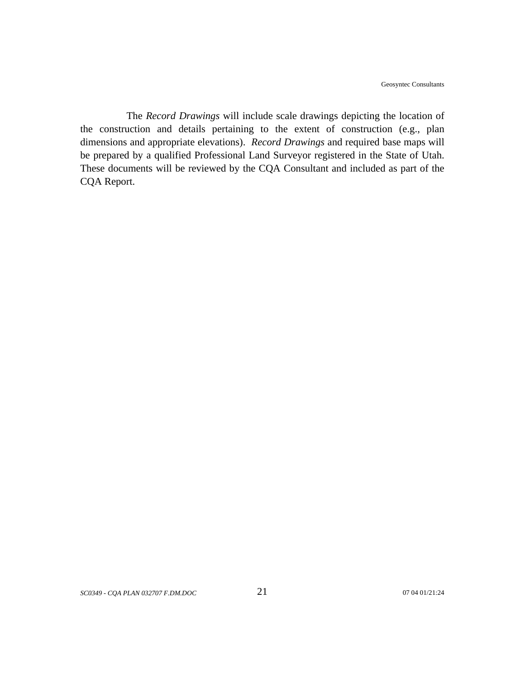The *Record Drawings* will include scale drawings depicting the location of the construction and details pertaining to the extent of construction (e.g., plan dimensions and appropriate elevations). *Record Drawings* and required base maps will be prepared by a qualified Professional Land Surveyor registered in the State of Utah. These documents will be reviewed by the CQA Consultant and included as part of the CQA Report.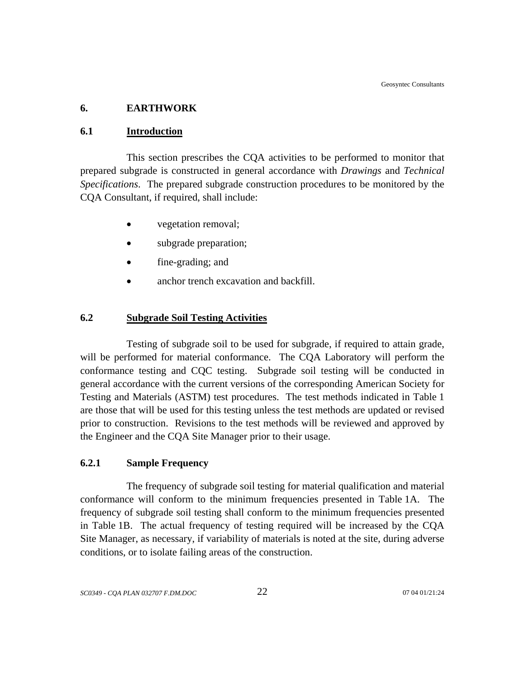## **6. EARTHWORK**

#### **6.1 Introduction**

This section prescribes the CQA activities to be performed to monitor that prepared subgrade is constructed in general accordance with *Drawings* and *Technical Specifications*. The prepared subgrade construction procedures to be monitored by the CQA Consultant, if required, shall include:

- vegetation removal;
- subgrade preparation;
- fine-grading; and
- anchor trench excavation and backfill.

## **6.2 Subgrade Soil Testing Activities**

Testing of subgrade soil to be used for subgrade, if required to attain grade, will be performed for material conformance. The CQA Laboratory will perform the conformance testing and CQC testing. Subgrade soil testing will be conducted in general accordance with the current versions of the corresponding American Society for Testing and Materials (ASTM) test procedures. The test methods indicated in Table 1 are those that will be used for this testing unless the test methods are updated or revised prior to construction. Revisions to the test methods will be reviewed and approved by the Engineer and the CQA Site Manager prior to their usage.

#### **6.2.1 Sample Frequency**

The frequency of subgrade soil testing for material qualification and material conformance will conform to the minimum frequencies presented in Table 1A. The frequency of subgrade soil testing shall conform to the minimum frequencies presented in Table 1B. The actual frequency of testing required will be increased by the CQA Site Manager, as necessary, if variability of materials is noted at the site, during adverse conditions, or to isolate failing areas of the construction.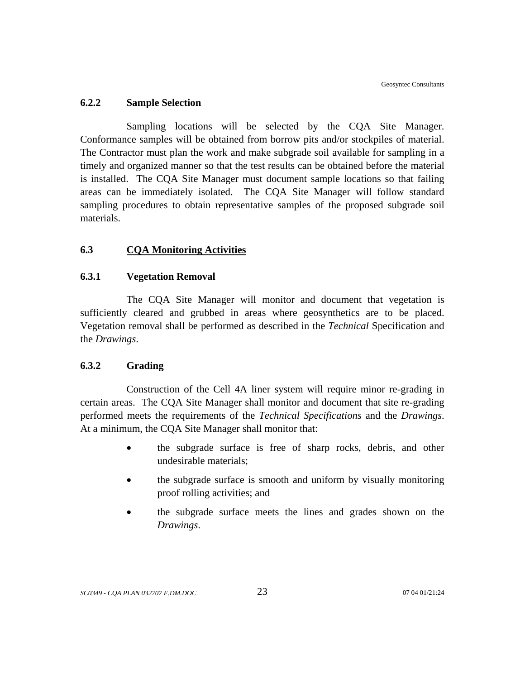#### **6.2.2 Sample Selection**

Sampling locations will be selected by the CQA Site Manager. Conformance samples will be obtained from borrow pits and/or stockpiles of material. The Contractor must plan the work and make subgrade soil available for sampling in a timely and organized manner so that the test results can be obtained before the material is installed. The CQA Site Manager must document sample locations so that failing areas can be immediately isolated. The CQA Site Manager will follow standard sampling procedures to obtain representative samples of the proposed subgrade soil materials.

## **6.3 CQA Monitoring Activities**

#### **6.3.1 Vegetation Removal**

The CQA Site Manager will monitor and document that vegetation is sufficiently cleared and grubbed in areas where geosynthetics are to be placed. Vegetation removal shall be performed as described in the *Technical* Specification and the *Drawings*.

#### **6.3.2 Grading**

 Construction of the Cell 4A liner system will require minor re-grading in certain areas. The CQA Site Manager shall monitor and document that site re-grading performed meets the requirements of the *Technical Specifications* and the *Drawings*. At a minimum, the CQA Site Manager shall monitor that:

- the subgrade surface is free of sharp rocks, debris, and other undesirable materials;
- the subgrade surface is smooth and uniform by visually monitoring proof rolling activities; and
- the subgrade surface meets the lines and grades shown on the *Drawings*.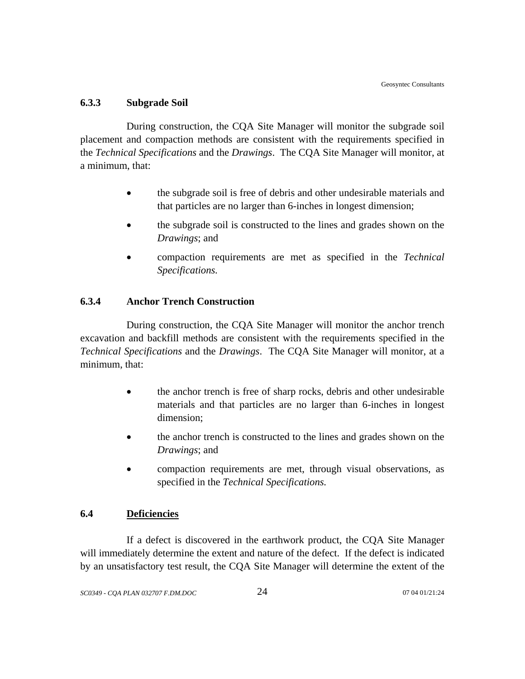#### **6.3.3 Subgrade Soil**

During construction, the CQA Site Manager will monitor the subgrade soil placement and compaction methods are consistent with the requirements specified in the *Technical Specifications* and the *Drawings*. The CQA Site Manager will monitor, at a minimum, that:

- the subgrade soil is free of debris and other undesirable materials and that particles are no larger than 6-inches in longest dimension;
- the subgrade soil is constructed to the lines and grades shown on the *Drawings*; and
- compaction requirements are met as specified in the *Technical Specifications.*

## **6.3.4 Anchor Trench Construction**

During construction, the CQA Site Manager will monitor the anchor trench excavation and backfill methods are consistent with the requirements specified in the *Technical Specifications* and the *Drawings*. The CQA Site Manager will monitor, at a minimum, that:

- the anchor trench is free of sharp rocks, debris and other undesirable materials and that particles are no larger than 6-inches in longest dimension;
- the anchor trench is constructed to the lines and grades shown on the *Drawings*; and
- compaction requirements are met, through visual observations, as specified in the *Technical Specifications.*

## **6.4 Deficiencies**

If a defect is discovered in the earthwork product, the CQA Site Manager will immediately determine the extent and nature of the defect. If the defect is indicated by an unsatisfactory test result, the CQA Site Manager will determine the extent of the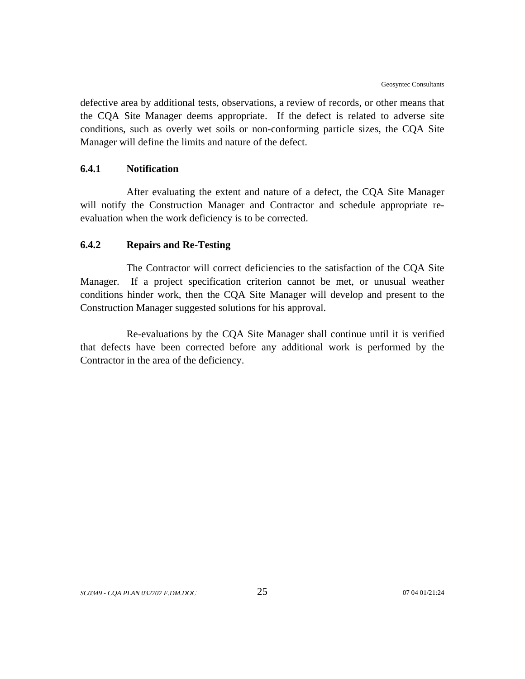defective area by additional tests, observations, a review of records, or other means that the CQA Site Manager deems appropriate. If the defect is related to adverse site conditions, such as overly wet soils or non-conforming particle sizes, the CQA Site Manager will define the limits and nature of the defect.

#### **6.4.1 Notification**

After evaluating the extent and nature of a defect, the CQA Site Manager will notify the Construction Manager and Contractor and schedule appropriate reevaluation when the work deficiency is to be corrected.

#### **6.4.2 Repairs and Re-Testing**

The Contractor will correct deficiencies to the satisfaction of the CQA Site Manager. If a project specification criterion cannot be met, or unusual weather conditions hinder work, then the CQA Site Manager will develop and present to the Construction Manager suggested solutions for his approval.

Re-evaluations by the CQA Site Manager shall continue until it is verified that defects have been corrected before any additional work is performed by the Contractor in the area of the deficiency.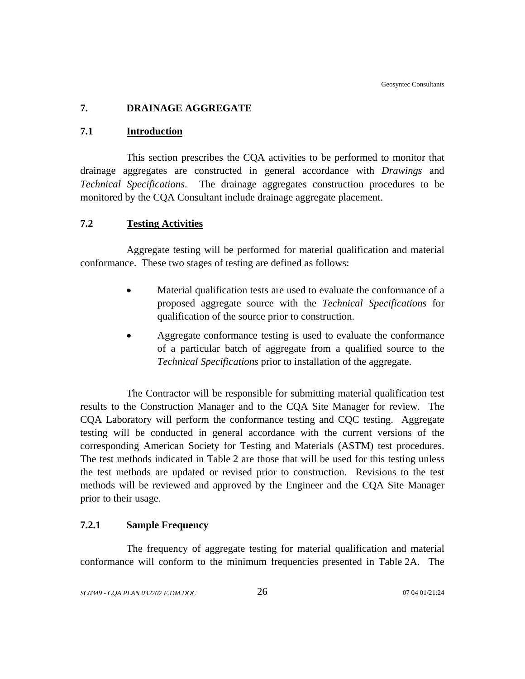## **7. DRAINAGE AGGREGATE**

#### **7.1 Introduction**

This section prescribes the CQA activities to be performed to monitor that drainage aggregates are constructed in general accordance with *Drawings* and *Technical Specifications*. The drainage aggregates construction procedures to be monitored by the CQA Consultant include drainage aggregate placement.

## **7.2 Testing Activities**

Aggregate testing will be performed for material qualification and material conformance. These two stages of testing are defined as follows:

- Material qualification tests are used to evaluate the conformance of a proposed aggregate source with the *Technical Specifications* for qualification of the source prior to construction.
- Aggregate conformance testing is used to evaluate the conformance of a particular batch of aggregate from a qualified source to the *Technical Specifications* prior to installation of the aggregate.

The Contractor will be responsible for submitting material qualification test results to the Construction Manager and to the CQA Site Manager for review. The CQA Laboratory will perform the conformance testing and CQC testing. Aggregate testing will be conducted in general accordance with the current versions of the corresponding American Society for Testing and Materials (ASTM) test procedures. The test methods indicated in Table 2 are those that will be used for this testing unless the test methods are updated or revised prior to construction. Revisions to the test methods will be reviewed and approved by the Engineer and the CQA Site Manager prior to their usage.

## **7.2.1 Sample Frequency**

The frequency of aggregate testing for material qualification and material conformance will conform to the minimum frequencies presented in Table 2A. The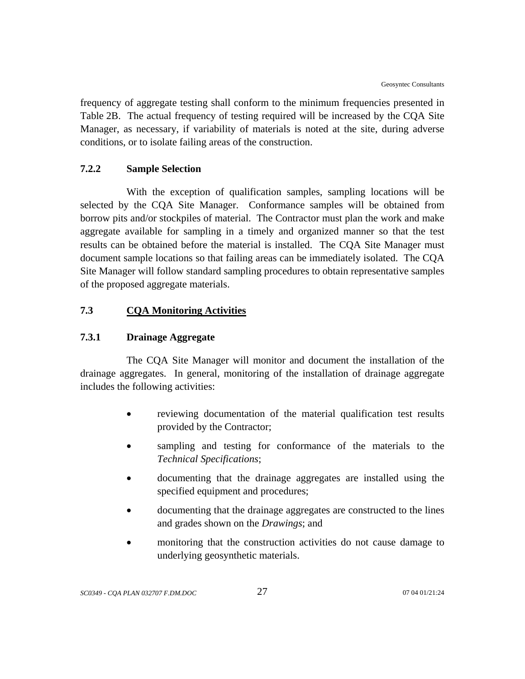frequency of aggregate testing shall conform to the minimum frequencies presented in Table 2B. The actual frequency of testing required will be increased by the CQA Site Manager, as necessary, if variability of materials is noted at the site, during adverse conditions, or to isolate failing areas of the construction.

## **7.2.2 Sample Selection**

With the exception of qualification samples, sampling locations will be selected by the CQA Site Manager. Conformance samples will be obtained from borrow pits and/or stockpiles of material. The Contractor must plan the work and make aggregate available for sampling in a timely and organized manner so that the test results can be obtained before the material is installed. The CQA Site Manager must document sample locations so that failing areas can be immediately isolated. The CQA Site Manager will follow standard sampling procedures to obtain representative samples of the proposed aggregate materials.

## **7.3 CQA Monitoring Activities**

## **7.3.1 Drainage Aggregate**

The CQA Site Manager will monitor and document the installation of the drainage aggregates. In general, monitoring of the installation of drainage aggregate includes the following activities:

- reviewing documentation of the material qualification test results provided by the Contractor;
- sampling and testing for conformance of the materials to the *Technical Specifications*;
- documenting that the drainage aggregates are installed using the specified equipment and procedures;
- documenting that the drainage aggregates are constructed to the lines and grades shown on the *Drawings*; and
- monitoring that the construction activities do not cause damage to underlying geosynthetic materials.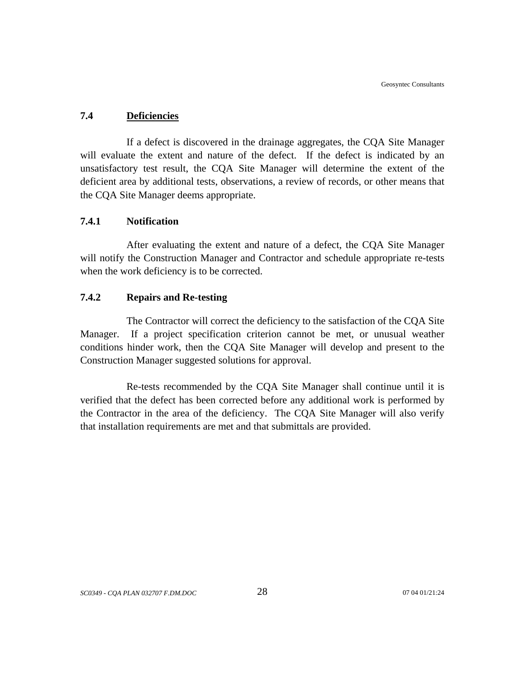#### **7.4 Deficiencies**

If a defect is discovered in the drainage aggregates, the CQA Site Manager will evaluate the extent and nature of the defect. If the defect is indicated by an unsatisfactory test result, the CQA Site Manager will determine the extent of the deficient area by additional tests, observations, a review of records, or other means that the CQA Site Manager deems appropriate.

## **7.4.1 Notification**

After evaluating the extent and nature of a defect, the CQA Site Manager will notify the Construction Manager and Contractor and schedule appropriate re-tests when the work deficiency is to be corrected.

## **7.4.2 Repairs and Re-testing**

The Contractor will correct the deficiency to the satisfaction of the CQA Site Manager. If a project specification criterion cannot be met, or unusual weather conditions hinder work, then the CQA Site Manager will develop and present to the Construction Manager suggested solutions for approval.

Re-tests recommended by the CQA Site Manager shall continue until it is verified that the defect has been corrected before any additional work is performed by the Contractor in the area of the deficiency. The CQA Site Manager will also verify that installation requirements are met and that submittals are provided.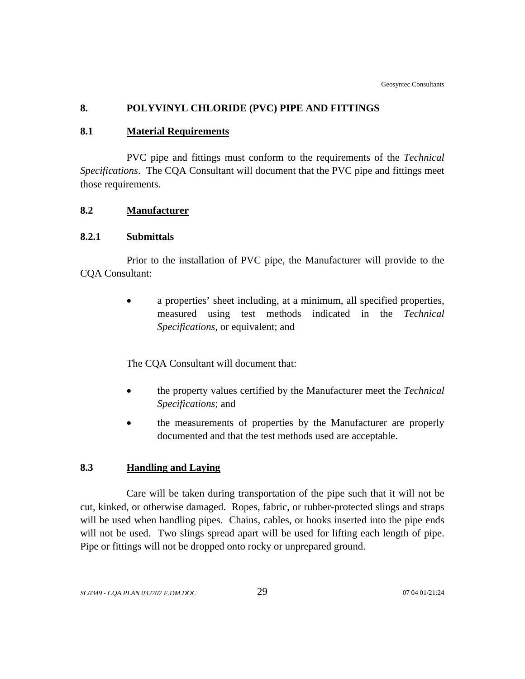# **8. POLYVINYL CHLORIDE (PVC) PIPE AND FITTINGS**

# **8.1 Material Requirements**

PVC pipe and fittings must conform to the requirements of the *Technical Specifications*. The CQA Consultant will document that the PVC pipe and fittings meet those requirements.

# **8.2 Manufacturer**

## **8.2.1 Submittals**

Prior to the installation of PVC pipe, the Manufacturer will provide to the CQA Consultant:

> • a properties' sheet including, at a minimum, all specified properties, measured using test methods indicated in the *Technical Specifications*, or equivalent; and

The CQA Consultant will document that:

- the property values certified by the Manufacturer meet the *Technical Specifications*; and
- the measurements of properties by the Manufacturer are properly documented and that the test methods used are acceptable.

# **8.3 Handling and Laying**

Care will be taken during transportation of the pipe such that it will not be cut, kinked, or otherwise damaged. Ropes, fabric, or rubber-protected slings and straps will be used when handling pipes. Chains, cables, or hooks inserted into the pipe ends will not be used. Two slings spread apart will be used for lifting each length of pipe. Pipe or fittings will not be dropped onto rocky or unprepared ground.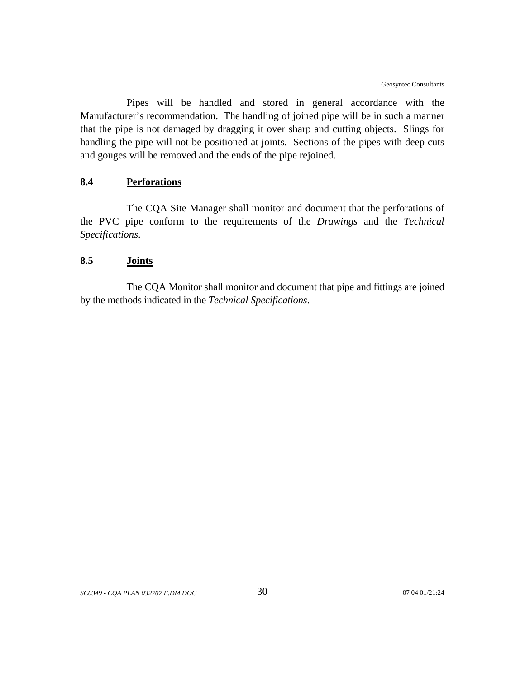Pipes will be handled and stored in general accordance with the Manufacturer's recommendation. The handling of joined pipe will be in such a manner that the pipe is not damaged by dragging it over sharp and cutting objects. Slings for handling the pipe will not be positioned at joints. Sections of the pipes with deep cuts and gouges will be removed and the ends of the pipe rejoined.

# **8.4 Perforations**

The CQA Site Manager shall monitor and document that the perforations of the PVC pipe conform to the requirements of the *Drawings* and the *Technical Specifications*.

### **8.5 Joints**

The CQA Monitor shall monitor and document that pipe and fittings are joined by the methods indicated in the *Technical Specifications*.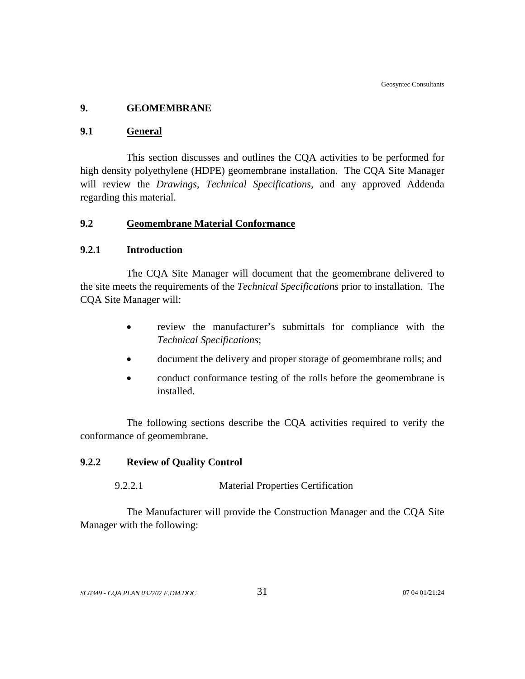## **9. GEOMEMBRANE**

### **9.1 General**

This section discusses and outlines the CQA activities to be performed for high density polyethylene (HDPE) geomembrane installation. The CQA Site Manager will review the *Drawings*, *Technical Specifications,* and any approved Addenda regarding this material.

# **9.2 Geomembrane Material Conformance**

### **9.2.1 Introduction**

The CQA Site Manager will document that the geomembrane delivered to the site meets the requirements of the *Technical Specifications* prior to installation. The CQA Site Manager will:

- review the manufacturer's submittals for compliance with the *Technical Specifications*;
- document the delivery and proper storage of geomembrane rolls; and
- conduct conformance testing of the rolls before the geomembrane is installed.

The following sections describe the CQA activities required to verify the conformance of geomembrane.

## **9.2.2 Review of Quality Control**

### 9.2.2.1 Material Properties Certification

The Manufacturer will provide the Construction Manager and the CQA Site Manager with the following: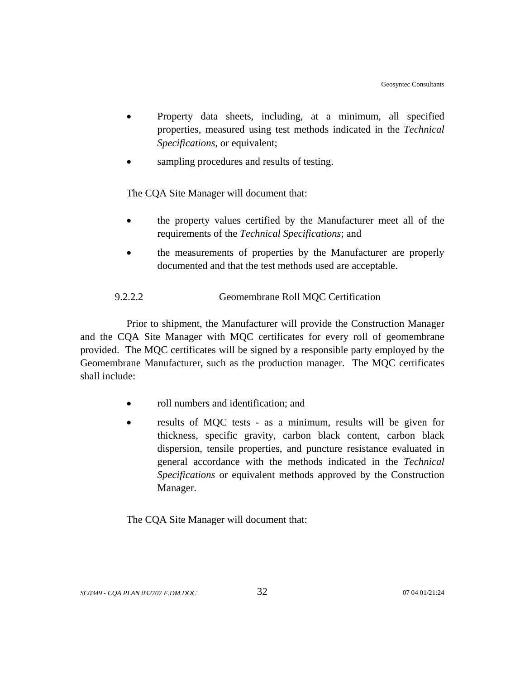- Property data sheets, including, at a minimum, all specified properties, measured using test methods indicated in the *Technical Specifications*, or equivalent;
- sampling procedures and results of testing.

The CQA Site Manager will document that:

- the property values certified by the Manufacturer meet all of the requirements of the *Technical Specifications*; and
- the measurements of properties by the Manufacturer are properly documented and that the test methods used are acceptable.

# 9.2.2.2 Geomembrane Roll MQC Certification

Prior to shipment, the Manufacturer will provide the Construction Manager and the CQA Site Manager with MQC certificates for every roll of geomembrane provided. The MQC certificates will be signed by a responsible party employed by the Geomembrane Manufacturer, such as the production manager. The MQC certificates shall include:

- roll numbers and identification; and
- results of MQC tests as a minimum, results will be given for thickness, specific gravity, carbon black content, carbon black dispersion, tensile properties, and puncture resistance evaluated in general accordance with the methods indicated in the *Technical Specifications* or equivalent methods approved by the Construction Manager.

The CQA Site Manager will document that: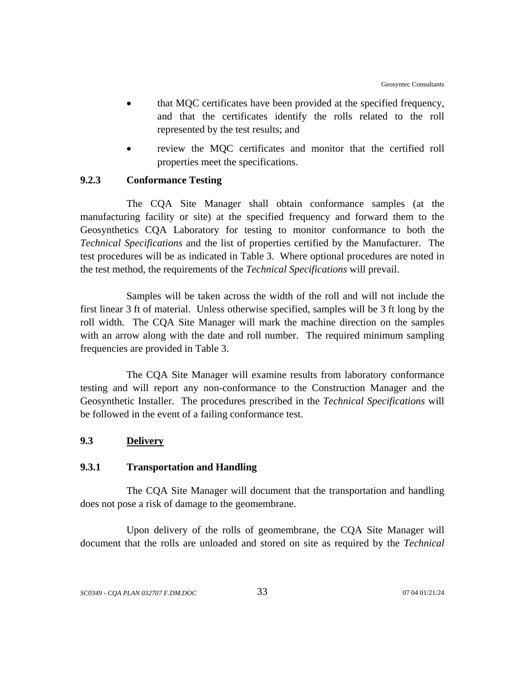- that MQC certificates have been provided at the specified frequency, and that the certificates identify the rolls related to the roll represented by the test results; and
- review the MOC certificates and monitor that the certified roll properties meet the specifications.

# **9.2.3 Conformance Testing**

The CQA Site Manager shall obtain conformance samples (at the manufacturing facility or site) at the specified frequency and forward them to the Geosynthetics CQA Laboratory for testing to monitor conformance to both the *Technical Specifications* and the list of properties certified by the Manufacturer. The test procedures will be as indicated in Table 3. Where optional procedures are noted in the test method, the requirements of the *Technical Specifications* will prevail.

Samples will be taken across the width of the roll and will not include the first linear 3 ft of material. Unless otherwise specified, samples will be 3 ft long by the roll width. The CQA Site Manager will mark the machine direction on the samples with an arrow along with the date and roll number. The required minimum sampling frequencies are provided in Table 3.

The CQA Site Manager will examine results from laboratory conformance testing and will report any non-conformance to the Construction Manager and the Geosynthetic Installer. The procedures prescribed in the *Technical Specifications* will be followed in the event of a failing conformance test.

## **9.3 Delivery**

### **9.3.1 Transportation and Handling**

The CQA Site Manager will document that the transportation and handling does not pose a risk of damage to the geomembrane.

Upon delivery of the rolls of geomembrane, the CQA Site Manager will document that the rolls are unloaded and stored on site as required by the *Technical*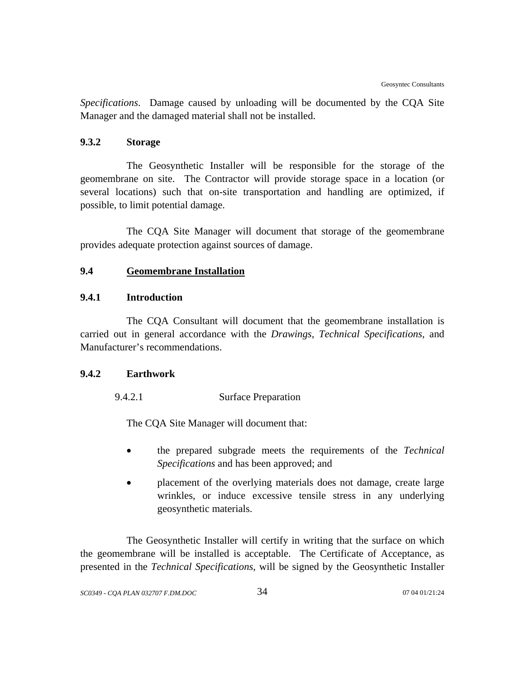*Specifications*. Damage caused by unloading will be documented by the CQA Site Manager and the damaged material shall not be installed.

## **9.3.2 Storage**

The Geosynthetic Installer will be responsible for the storage of the geomembrane on site. The Contractor will provide storage space in a location (or several locations) such that on-site transportation and handling are optimized, if possible, to limit potential damage.

The CQA Site Manager will document that storage of the geomembrane provides adequate protection against sources of damage.

# **9.4 Geomembrane Installation**

## **9.4.1 Introduction**

The CQA Consultant will document that the geomembrane installation is carried out in general accordance with the *Drawings, Technical Specifications,* and Manufacturer's recommendations.

### **9.4.2 Earthwork**

9.4.2.1 Surface Preparation

The CQA Site Manager will document that:

- the prepared subgrade meets the requirements of the *Technical Specifications* and has been approved; and
- placement of the overlying materials does not damage, create large wrinkles, or induce excessive tensile stress in any underlying geosynthetic materials.

The Geosynthetic Installer will certify in writing that the surface on which the geomembrane will be installed is acceptable. The Certificate of Acceptance, as presented in the *Technical Specifications*, will be signed by the Geosynthetic Installer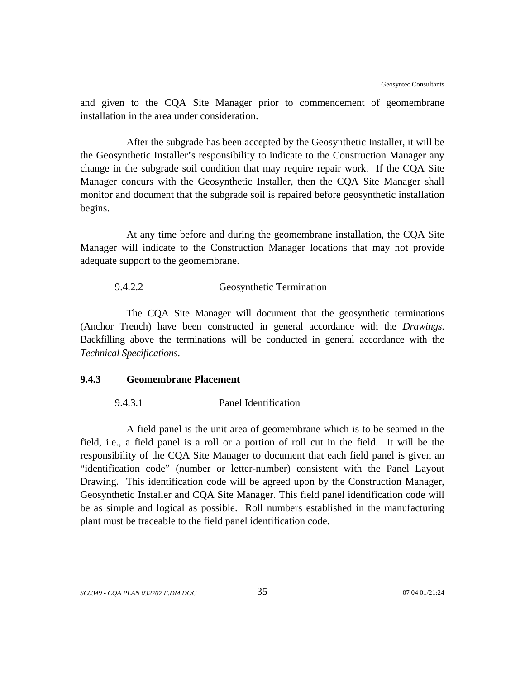and given to the CQA Site Manager prior to commencement of geomembrane installation in the area under consideration.

After the subgrade has been accepted by the Geosynthetic Installer, it will be the Geosynthetic Installer's responsibility to indicate to the Construction Manager any change in the subgrade soil condition that may require repair work. If the CQA Site Manager concurs with the Geosynthetic Installer, then the CQA Site Manager shall monitor and document that the subgrade soil is repaired before geosynthetic installation begins.

At any time before and during the geomembrane installation, the CQA Site Manager will indicate to the Construction Manager locations that may not provide adequate support to the geomembrane.

### 9.4.2.2 Geosynthetic Termination

The CQA Site Manager will document that the geosynthetic terminations (Anchor Trench) have been constructed in general accordance with the *Drawings*. Backfilling above the terminations will be conducted in general accordance with the *Technical Specifications*.

# **9.4.3 Geomembrane Placement**

### 9.4.3.1 Panel Identification

A field panel is the unit area of geomembrane which is to be seamed in the field, i.e., a field panel is a roll or a portion of roll cut in the field. It will be the responsibility of the CQA Site Manager to document that each field panel is given an "identification code" (number or letter-number) consistent with the Panel Layout Drawing. This identification code will be agreed upon by the Construction Manager, Geosynthetic Installer and CQA Site Manager. This field panel identification code will be as simple and logical as possible. Roll numbers established in the manufacturing plant must be traceable to the field panel identification code.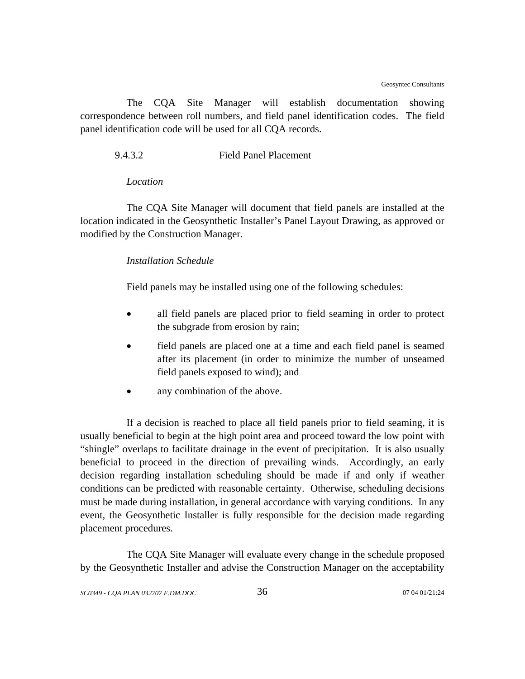The CQA Site Manager will establish documentation showing correspondence between roll numbers, and field panel identification codes. The field panel identification code will be used for all CQA records.

9.4.3.2 Field Panel Placement

#### *Location*

The CQA Site Manager will document that field panels are installed at the location indicated in the Geosynthetic Installer's Panel Layout Drawing, as approved or modified by the Construction Manager.

#### *Installation Schedule*

Field panels may be installed using one of the following schedules:

- all field panels are placed prior to field seaming in order to protect the subgrade from erosion by rain;
- field panels are placed one at a time and each field panel is seamed after its placement (in order to minimize the number of unseamed field panels exposed to wind); and
- any combination of the above.

If a decision is reached to place all field panels prior to field seaming, it is usually beneficial to begin at the high point area and proceed toward the low point with "shingle" overlaps to facilitate drainage in the event of precipitation. It is also usually beneficial to proceed in the direction of prevailing winds. Accordingly, an early decision regarding installation scheduling should be made if and only if weather conditions can be predicted with reasonable certainty. Otherwise, scheduling decisions must be made during installation, in general accordance with varying conditions. In any event, the Geosynthetic Installer is fully responsible for the decision made regarding placement procedures.

The CQA Site Manager will evaluate every change in the schedule proposed by the Geosynthetic Installer and advise the Construction Manager on the acceptability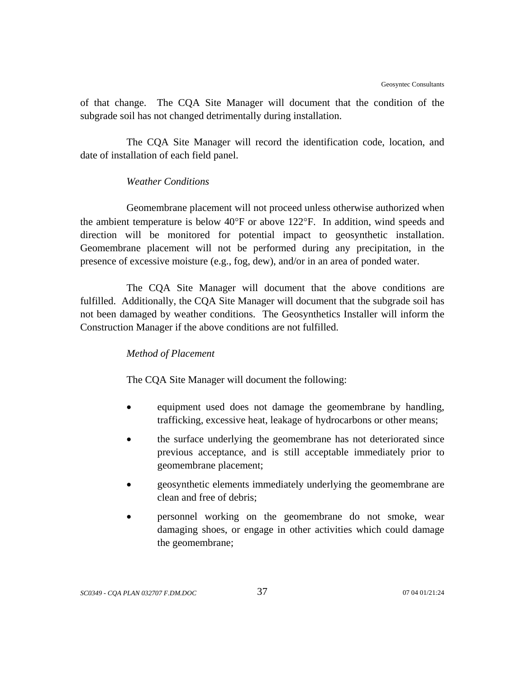of that change. The CQA Site Manager will document that the condition of the subgrade soil has not changed detrimentally during installation.

The CQA Site Manager will record the identification code, location, and date of installation of each field panel.

## *Weather Conditions*

Geomembrane placement will not proceed unless otherwise authorized when the ambient temperature is below 40°F or above 122°F. In addition, wind speeds and direction will be monitored for potential impact to geosynthetic installation. Geomembrane placement will not be performed during any precipitation, in the presence of excessive moisture (e.g., fog, dew), and/or in an area of ponded water.

The CQA Site Manager will document that the above conditions are fulfilled. Additionally, the CQA Site Manager will document that the subgrade soil has not been damaged by weather conditions. The Geosynthetics Installer will inform the Construction Manager if the above conditions are not fulfilled.

### *Method of Placement*

The CQA Site Manager will document the following:

- equipment used does not damage the geomembrane by handling, trafficking, excessive heat, leakage of hydrocarbons or other means;
- the surface underlying the geomembrane has not deteriorated since previous acceptance, and is still acceptable immediately prior to geomembrane placement;
- geosynthetic elements immediately underlying the geomembrane are clean and free of debris;
- personnel working on the geomembrane do not smoke, wear damaging shoes, or engage in other activities which could damage the geomembrane;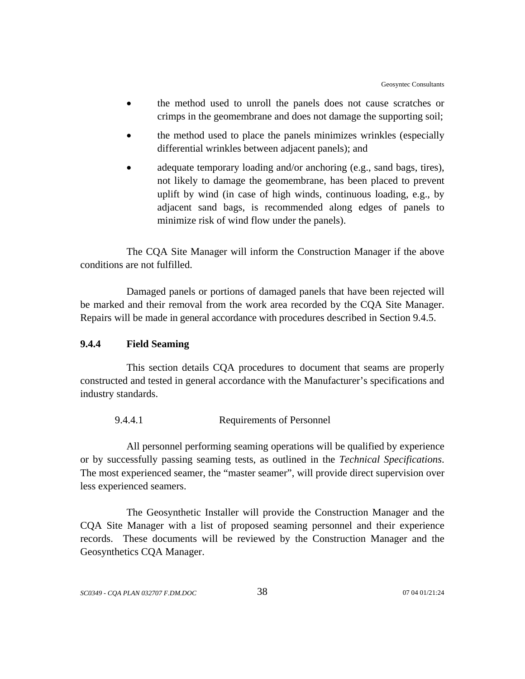- the method used to unroll the panels does not cause scratches or crimps in the geomembrane and does not damage the supporting soil;
- the method used to place the panels minimizes wrinkles (especially differential wrinkles between adjacent panels); and
- adequate temporary loading and/or anchoring (e.g., sand bags, tires), not likely to damage the geomembrane, has been placed to prevent uplift by wind (in case of high winds, continuous loading, e.g., by adjacent sand bags, is recommended along edges of panels to minimize risk of wind flow under the panels).

The CQA Site Manager will inform the Construction Manager if the above conditions are not fulfilled.

Damaged panels or portions of damaged panels that have been rejected will be marked and their removal from the work area recorded by the CQA Site Manager. Repairs will be made in general accordance with procedures described in Section 9.4.5.

## **9.4.4 Field Seaming**

This section details CQA procedures to document that seams are properly constructed and tested in general accordance with the Manufacturer's specifications and industry standards.

9.4.4.1 Requirements of Personnel

All personnel performing seaming operations will be qualified by experience or by successfully passing seaming tests, as outlined in the *Technical Specifications*. The most experienced seamer, the "master seamer", will provide direct supervision over less experienced seamers.

The Geosynthetic Installer will provide the Construction Manager and the CQA Site Manager with a list of proposed seaming personnel and their experience records. These documents will be reviewed by the Construction Manager and the Geosynthetics CQA Manager.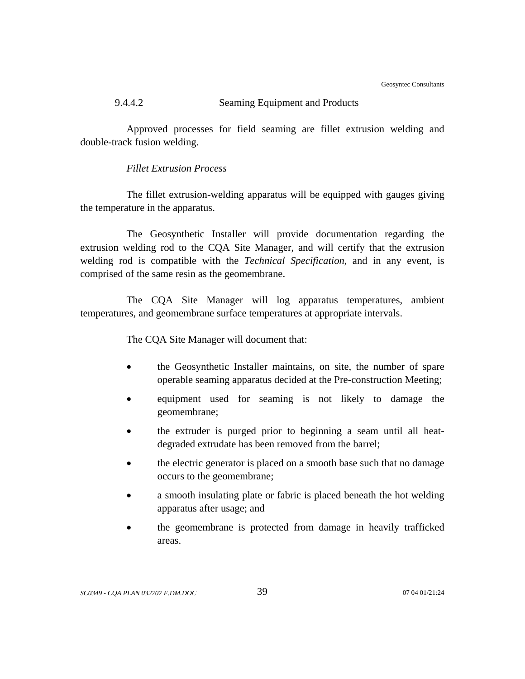Geosyntec Consultants

# 9.4.4.2 Seaming Equipment and Products

Approved processes for field seaming are fillet extrusion welding and double-track fusion welding.

# *Fillet Extrusion Process*

The fillet extrusion-welding apparatus will be equipped with gauges giving the temperature in the apparatus.

The Geosynthetic Installer will provide documentation regarding the extrusion welding rod to the CQA Site Manager, and will certify that the extrusion welding rod is compatible with the *Technical Specification*, and in any event, is comprised of the same resin as the geomembrane.

The CQA Site Manager will log apparatus temperatures, ambient temperatures, and geomembrane surface temperatures at appropriate intervals.

The CQA Site Manager will document that:

- the Geosynthetic Installer maintains, on site, the number of spare operable seaming apparatus decided at the Pre-construction Meeting;
- equipment used for seaming is not likely to damage the geomembrane;
- the extruder is purged prior to beginning a seam until all heatdegraded extrudate has been removed from the barrel;
- the electric generator is placed on a smooth base such that no damage occurs to the geomembrane;
- a smooth insulating plate or fabric is placed beneath the hot welding apparatus after usage; and
- the geomembrane is protected from damage in heavily trafficked areas.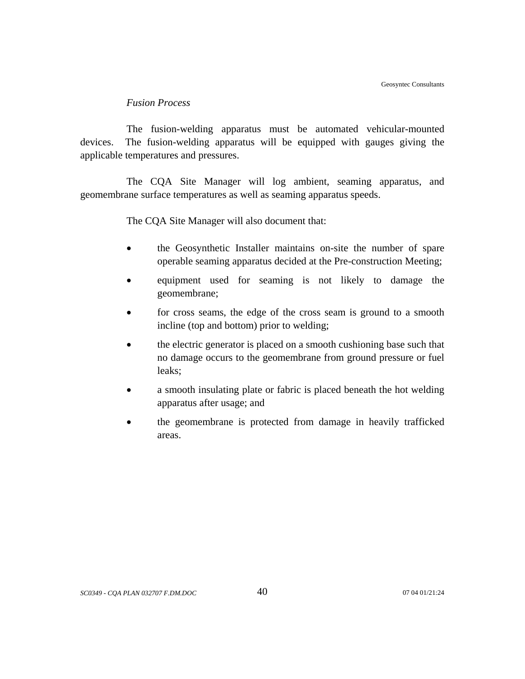### *Fusion Process*

The fusion-welding apparatus must be automated vehicular-mounted devices. The fusion-welding apparatus will be equipped with gauges giving the applicable temperatures and pressures.

The CQA Site Manager will log ambient, seaming apparatus, and geomembrane surface temperatures as well as seaming apparatus speeds.

The CQA Site Manager will also document that:

- the Geosynthetic Installer maintains on-site the number of spare operable seaming apparatus decided at the Pre-construction Meeting;
- equipment used for seaming is not likely to damage the geomembrane;
- for cross seams, the edge of the cross seam is ground to a smooth incline (top and bottom) prior to welding;
- the electric generator is placed on a smooth cushioning base such that no damage occurs to the geomembrane from ground pressure or fuel leaks;
- a smooth insulating plate or fabric is placed beneath the hot welding apparatus after usage; and
- the geomembrane is protected from damage in heavily trafficked areas.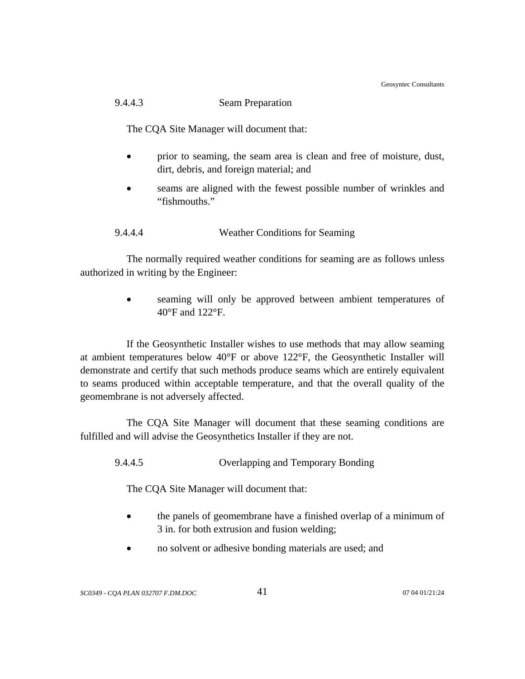Geosyntec Consultants

# 9.4.4.3 Seam Preparation

The CQA Site Manager will document that:

- prior to seaming, the seam area is clean and free of moisture, dust, dirt, debris, and foreign material; and
- seams are aligned with the fewest possible number of wrinkles and "fishmouths."

9.4.4.4 Weather Conditions for Seaming

The normally required weather conditions for seaming are as follows unless authorized in writing by the Engineer:

> seaming will only be approved between ambient temperatures of 40°F and 122°F.

If the Geosynthetic Installer wishes to use methods that may allow seaming at ambient temperatures below 40°F or above 122°F, the Geosynthetic Installer will demonstrate and certify that such methods produce seams which are entirely equivalent to seams produced within acceptable temperature, and that the overall quality of the geomembrane is not adversely affected.

The CQA Site Manager will document that these seaming conditions are fulfilled and will advise the Geosynthetics Installer if they are not.

9.4.4.5 Overlapping and Temporary Bonding

The CQA Site Manager will document that:

- the panels of geomembrane have a finished overlap of a minimum of 3 in. for both extrusion and fusion welding;
- no solvent or adhesive bonding materials are used; and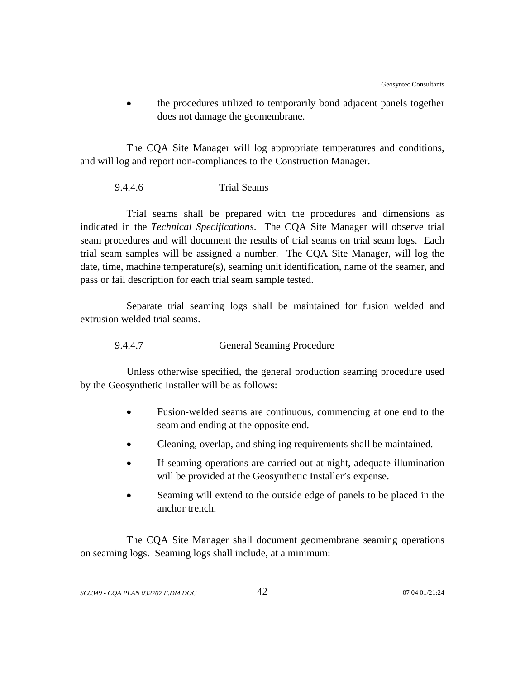• the procedures utilized to temporarily bond adjacent panels together does not damage the geomembrane.

The CQA Site Manager will log appropriate temperatures and conditions, and will log and report non-compliances to the Construction Manager.

### 9.4.4.6 Trial Seams

Trial seams shall be prepared with the procedures and dimensions as indicated in the *Technical Specifications*. The CQA Site Manager will observe trial seam procedures and will document the results of trial seams on trial seam logs. Each trial seam samples will be assigned a number. The CQA Site Manager, will log the date, time, machine temperature(s), seaming unit identification, name of the seamer, and pass or fail description for each trial seam sample tested.

Separate trial seaming logs shall be maintained for fusion welded and extrusion welded trial seams.

9.4.4.7 General Seaming Procedure

Unless otherwise specified, the general production seaming procedure used by the Geosynthetic Installer will be as follows:

- Fusion-welded seams are continuous, commencing at one end to the seam and ending at the opposite end.
- Cleaning, overlap, and shingling requirements shall be maintained.
- If seaming operations are carried out at night, adequate illumination will be provided at the Geosynthetic Installer's expense.
- Seaming will extend to the outside edge of panels to be placed in the anchor trench.

The CQA Site Manager shall document geomembrane seaming operations on seaming logs. Seaming logs shall include, at a minimum: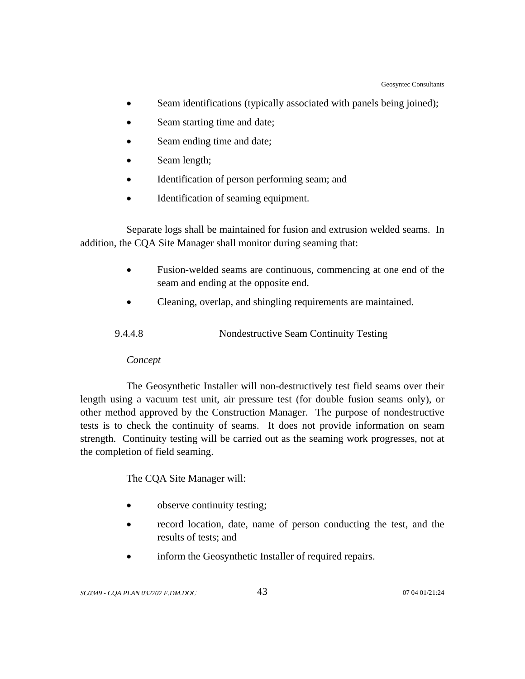- Seam identifications (typically associated with panels being joined);
- Seam starting time and date;
- Seam ending time and date;
- Seam length;
- Identification of person performing seam; and
- Identification of seaming equipment.

 Separate logs shall be maintained for fusion and extrusion welded seams. In addition, the CQA Site Manager shall monitor during seaming that:

- Fusion-welded seams are continuous, commencing at one end of the seam and ending at the opposite end.
- Cleaning, overlap, and shingling requirements are maintained.

| 9.4.4.8 | Nondestructive Seam Continuity Testing |  |
|---------|----------------------------------------|--|
|         |                                        |  |

# *Concept*

The Geosynthetic Installer will non-destructively test field seams over their length using a vacuum test unit, air pressure test (for double fusion seams only), or other method approved by the Construction Manager. The purpose of nondestructive tests is to check the continuity of seams. It does not provide information on seam strength. Continuity testing will be carried out as the seaming work progresses, not at the completion of field seaming.

The CQA Site Manager will:

- observe continuity testing;
- record location, date, name of person conducting the test, and the results of tests; and
- inform the Geosynthetic Installer of required repairs.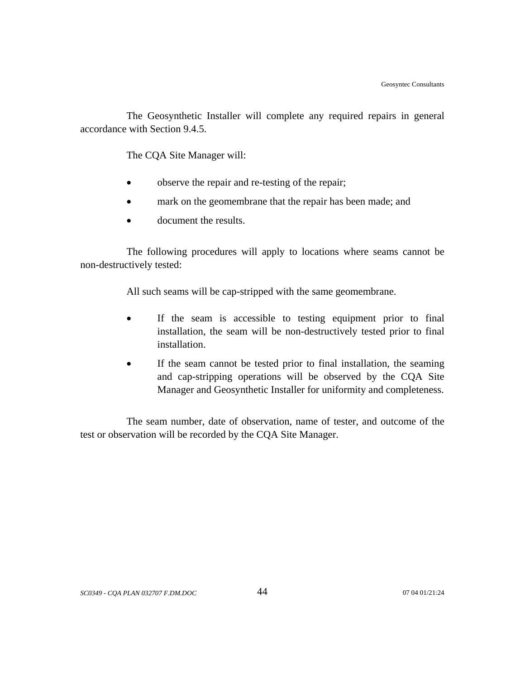The Geosynthetic Installer will complete any required repairs in general accordance with Section 9.4.5.

The CQA Site Manager will:

- observe the repair and re-testing of the repair;
- mark on the geomembrane that the repair has been made; and
- document the results.

The following procedures will apply to locations where seams cannot be non-destructively tested:

All such seams will be cap-stripped with the same geomembrane.

- If the seam is accessible to testing equipment prior to final installation, the seam will be non-destructively tested prior to final installation.
- If the seam cannot be tested prior to final installation, the seaming and cap-stripping operations will be observed by the CQA Site Manager and Geosynthetic Installer for uniformity and completeness.

The seam number, date of observation, name of tester, and outcome of the test or observation will be recorded by the CQA Site Manager.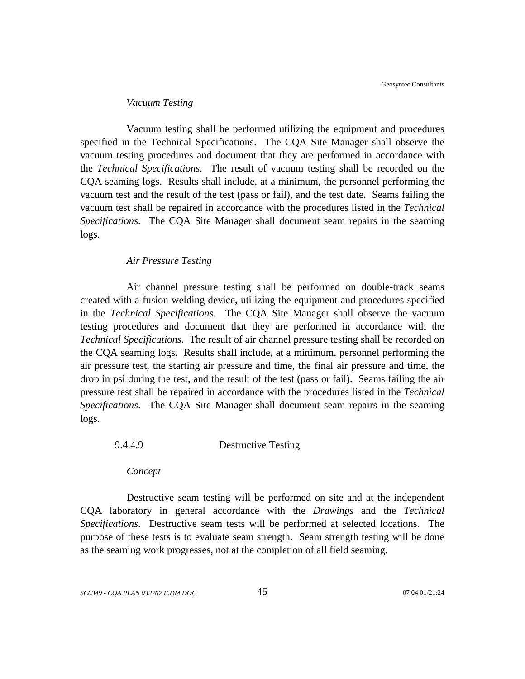#### *Vacuum Testing*

Vacuum testing shall be performed utilizing the equipment and procedures specified in the Technical Specifications. The CQA Site Manager shall observe the vacuum testing procedures and document that they are performed in accordance with the *Technical Specifications*. The result of vacuum testing shall be recorded on the CQA seaming logs. Results shall include, at a minimum, the personnel performing the vacuum test and the result of the test (pass or fail), and the test date. Seams failing the vacuum test shall be repaired in accordance with the procedures listed in the *Technical Specifications*. The CQA Site Manager shall document seam repairs in the seaming logs.

#### *Air Pressure Testing*

Air channel pressure testing shall be performed on double-track seams created with a fusion welding device, utilizing the equipment and procedures specified in the *Technical Specifications*. The CQA Site Manager shall observe the vacuum testing procedures and document that they are performed in accordance with the *Technical Specifications*. The result of air channel pressure testing shall be recorded on the CQA seaming logs. Results shall include, at a minimum, personnel performing the air pressure test, the starting air pressure and time, the final air pressure and time, the drop in psi during the test, and the result of the test (pass or fail). Seams failing the air pressure test shall be repaired in accordance with the procedures listed in the *Technical Specifications*. The CQA Site Manager shall document seam repairs in the seaming logs.

### 9.4.4.9 Destructive Testing

*Concept*

Destructive seam testing will be performed on site and at the independent CQA laboratory in general accordance with the *Drawings* and the *Technical Specifications*. Destructive seam tests will be performed at selected locations. The purpose of these tests is to evaluate seam strength. Seam strength testing will be done as the seaming work progresses, not at the completion of all field seaming.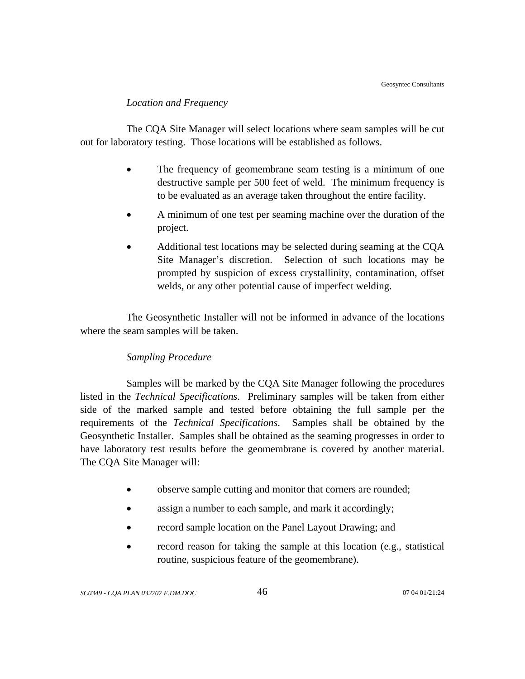### *Location and Frequency*

The CQA Site Manager will select locations where seam samples will be cut out for laboratory testing. Those locations will be established as follows.

- The frequency of geomembrane seam testing is a minimum of one destructive sample per 500 feet of weld. The minimum frequency is to be evaluated as an average taken throughout the entire facility.
- A minimum of one test per seaming machine over the duration of the project.
- Additional test locations may be selected during seaming at the CQA Site Manager's discretion. Selection of such locations may be prompted by suspicion of excess crystallinity, contamination, offset welds, or any other potential cause of imperfect welding.

The Geosynthetic Installer will not be informed in advance of the locations where the seam samples will be taken.

# *Sampling Procedure*

Samples will be marked by the CQA Site Manager following the procedures listed in the *Technical Specifications*. Preliminary samples will be taken from either side of the marked sample and tested before obtaining the full sample per the requirements of the *Technical Specifications*. Samples shall be obtained by the Geosynthetic Installer. Samples shall be obtained as the seaming progresses in order to have laboratory test results before the geomembrane is covered by another material. The CQA Site Manager will:

- observe sample cutting and monitor that corners are rounded;
- assign a number to each sample, and mark it accordingly;
- record sample location on the Panel Layout Drawing; and
- record reason for taking the sample at this location (e.g., statistical routine, suspicious feature of the geomembrane).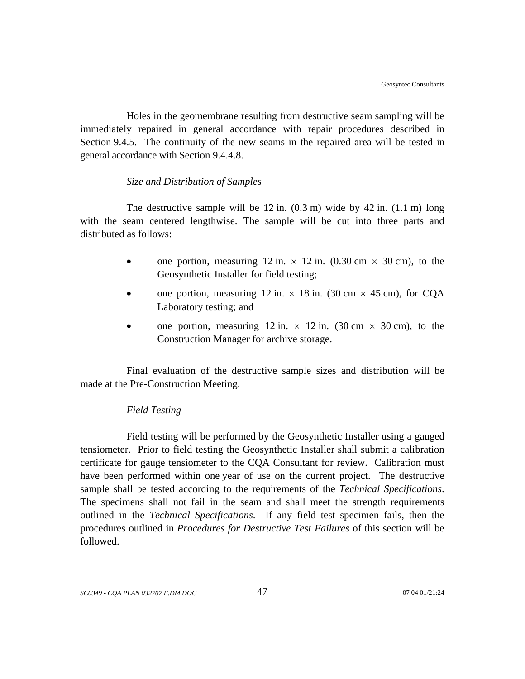Holes in the geomembrane resulting from destructive seam sampling will be immediately repaired in general accordance with repair procedures described in Section 9.4.5. The continuity of the new seams in the repaired area will be tested in general accordance with Section 9.4.4.8.

### *Size and Distribution of Samples*

The destructive sample will be  $12$  in.  $(0.3 \text{ m})$  wide by  $42$  in.  $(1.1 \text{ m})$  long with the seam centered lengthwise. The sample will be cut into three parts and distributed as follows:

- one portion, measuring 12 in.  $\times$  12 in. (0.30 cm  $\times$  30 cm), to the Geosynthetic Installer for field testing;
- one portion, measuring 12 in.  $\times$  18 in. (30 cm  $\times$  45 cm), for CQA Laboratory testing; and
- one portion, measuring 12 in.  $\times$  12 in. (30 cm  $\times$  30 cm), to the Construction Manager for archive storage.

Final evaluation of the destructive sample sizes and distribution will be made at the Pre-Construction Meeting.

# *Field Testing*

Field testing will be performed by the Geosynthetic Installer using a gauged tensiometer. Prior to field testing the Geosynthetic Installer shall submit a calibration certificate for gauge tensiometer to the CQA Consultant for review. Calibration must have been performed within one year of use on the current project. The destructive sample shall be tested according to the requirements of the *Technical Specifications*. The specimens shall not fail in the seam and shall meet the strength requirements outlined in the *Technical Specifications*. If any field test specimen fails, then the procedures outlined in *Procedures for Destructive Test Failures* of this section will be followed.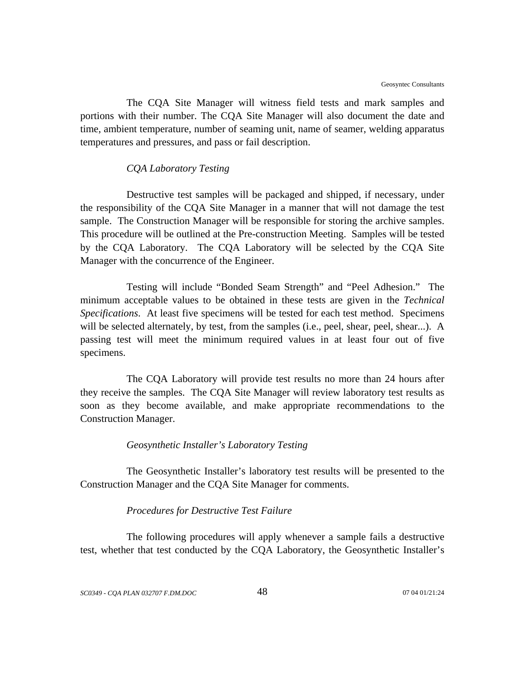The CQA Site Manager will witness field tests and mark samples and portions with their number. The CQA Site Manager will also document the date and time, ambient temperature, number of seaming unit, name of seamer, welding apparatus temperatures and pressures, and pass or fail description.

#### *CQA Laboratory Testing*

Destructive test samples will be packaged and shipped, if necessary, under the responsibility of the CQA Site Manager in a manner that will not damage the test sample. The Construction Manager will be responsible for storing the archive samples. This procedure will be outlined at the Pre-construction Meeting. Samples will be tested by the CQA Laboratory. The CQA Laboratory will be selected by the CQA Site Manager with the concurrence of the Engineer.

Testing will include "Bonded Seam Strength" and "Peel Adhesion." The minimum acceptable values to be obtained in these tests are given in the *Technical Specifications*. At least five specimens will be tested for each test method. Specimens will be selected alternately, by test, from the samples (i.e., peel, shear, peel, shear...). A passing test will meet the minimum required values in at least four out of five specimens.

The CQA Laboratory will provide test results no more than 24 hours after they receive the samples. The CQA Site Manager will review laboratory test results as soon as they become available, and make appropriate recommendations to the Construction Manager.

### *Geosynthetic Installer's Laboratory Testing*

The Geosynthetic Installer's laboratory test results will be presented to the Construction Manager and the CQA Site Manager for comments.

### *Procedures for Destructive Test Failure*

The following procedures will apply whenever a sample fails a destructive test, whether that test conducted by the CQA Laboratory, the Geosynthetic Installer's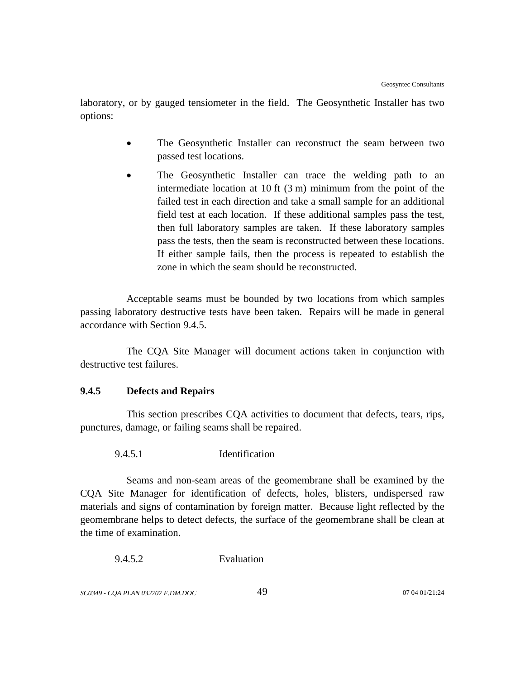laboratory, or by gauged tensiometer in the field. The Geosynthetic Installer has two options:

- The Geosynthetic Installer can reconstruct the seam between two passed test locations.
- The Geosynthetic Installer can trace the welding path to an intermediate location at 10 ft (3 m) minimum from the point of the failed test in each direction and take a small sample for an additional field test at each location. If these additional samples pass the test, then full laboratory samples are taken. If these laboratory samples pass the tests, then the seam is reconstructed between these locations. If either sample fails, then the process is repeated to establish the zone in which the seam should be reconstructed.

Acceptable seams must be bounded by two locations from which samples passing laboratory destructive tests have been taken. Repairs will be made in general accordance with Section 9.4.5.

The CQA Site Manager will document actions taken in conjunction with destructive test failures.

# **9.4.5 Defects and Repairs**

This section prescribes CQA activities to document that defects, tears, rips, punctures, damage, or failing seams shall be repaired.

9.4.5.1 Identification

Seams and non-seam areas of the geomembrane shall be examined by the CQA Site Manager for identification of defects, holes, blisters, undispersed raw materials and signs of contamination by foreign matter. Because light reflected by the geomembrane helps to detect defects, the surface of the geomembrane shall be clean at the time of examination.

9.4.5.2 Evaluation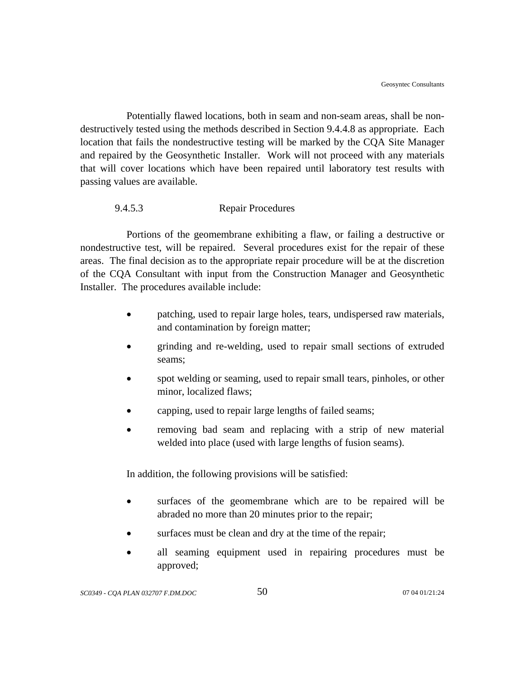Potentially flawed locations, both in seam and non-seam areas, shall be nondestructively tested using the methods described in Section 9.4.4.8 as appropriate. Each location that fails the nondestructive testing will be marked by the CQA Site Manager and repaired by the Geosynthetic Installer. Work will not proceed with any materials that will cover locations which have been repaired until laboratory test results with passing values are available.

## 9.4.5.3 Repair Procedures

Portions of the geomembrane exhibiting a flaw, or failing a destructive or nondestructive test, will be repaired. Several procedures exist for the repair of these areas. The final decision as to the appropriate repair procedure will be at the discretion of the CQA Consultant with input from the Construction Manager and Geosynthetic Installer. The procedures available include:

- patching, used to repair large holes, tears, undispersed raw materials, and contamination by foreign matter;
- grinding and re-welding, used to repair small sections of extruded seams;
- spot welding or seaming, used to repair small tears, pinholes, or other minor, localized flaws;
- capping, used to repair large lengths of failed seams;
- removing bad seam and replacing with a strip of new material welded into place (used with large lengths of fusion seams).

In addition, the following provisions will be satisfied:

- surfaces of the geomembrane which are to be repaired will be abraded no more than 20 minutes prior to the repair;
- surfaces must be clean and dry at the time of the repair;
- all seaming equipment used in repairing procedures must be approved;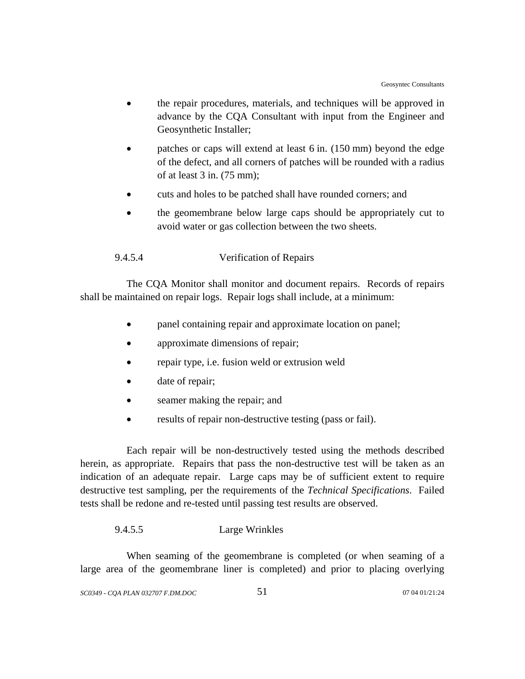- the repair procedures, materials, and techniques will be approved in advance by the CQA Consultant with input from the Engineer and Geosynthetic Installer;
- patches or caps will extend at least 6 in. (150 mm) beyond the edge of the defect, and all corners of patches will be rounded with a radius of at least 3 in. (75 mm);
- cuts and holes to be patched shall have rounded corners; and
- the geomembrane below large caps should be appropriately cut to avoid water or gas collection between the two sheets.

## 9.4.5.4 Verification of Repairs

The CQA Monitor shall monitor and document repairs. Records of repairs shall be maintained on repair logs. Repair logs shall include, at a minimum:

- panel containing repair and approximate location on panel;
- approximate dimensions of repair;
- repair type, i.e. fusion weld or extrusion weld
- date of repair;
- seamer making the repair; and
- results of repair non-destructive testing (pass or fail).

Each repair will be non-destructively tested using the methods described herein, as appropriate. Repairs that pass the non-destructive test will be taken as an indication of an adequate repair. Large caps may be of sufficient extent to require destructive test sampling, per the requirements of the *Technical Specifications*. Failed tests shall be redone and re-tested until passing test results are observed.

### 9.4.5.5 Large Wrinkles

When seaming of the geomembrane is completed (or when seaming of a large area of the geomembrane liner is completed) and prior to placing overlying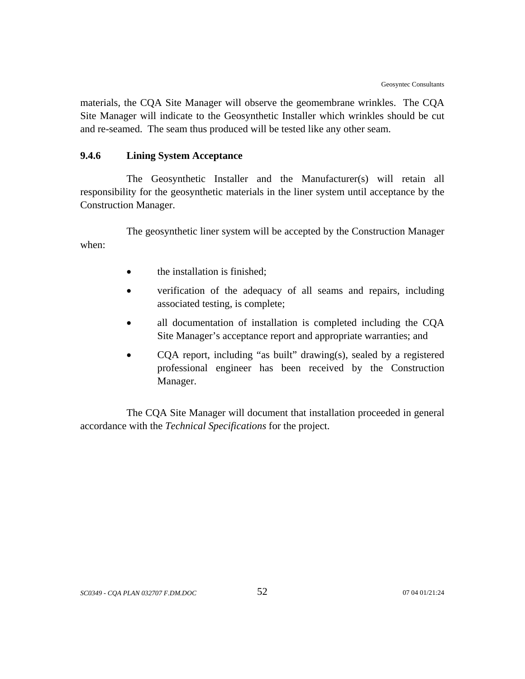materials, the CQA Site Manager will observe the geomembrane wrinkles. The CQA Site Manager will indicate to the Geosynthetic Installer which wrinkles should be cut and re-seamed. The seam thus produced will be tested like any other seam.

# **9.4.6 Lining System Acceptance**

The Geosynthetic Installer and the Manufacturer(s) will retain all responsibility for the geosynthetic materials in the liner system until acceptance by the Construction Manager.

The geosynthetic liner system will be accepted by the Construction Manager when:

- the installation is finished;
- verification of the adequacy of all seams and repairs, including associated testing, is complete;
- all documentation of installation is completed including the CQA Site Manager's acceptance report and appropriate warranties; and
- COA report, including "as built" drawing(s), sealed by a registered professional engineer has been received by the Construction Manager.

The CQA Site Manager will document that installation proceeded in general accordance with the *Technical Specifications* for the project.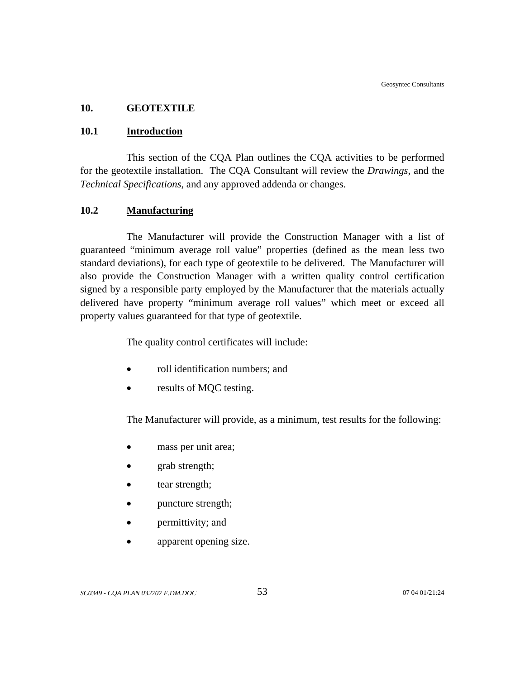### **10. GEOTEXTILE**

### **10.1 Introduction**

This section of the CQA Plan outlines the CQA activities to be performed for the geotextile installation. The CQA Consultant will review the *Drawings*, and the *Technical Specifications*, and any approved addenda or changes.

## **10.2 Manufacturing**

The Manufacturer will provide the Construction Manager with a list of guaranteed "minimum average roll value" properties (defined as the mean less two standard deviations), for each type of geotextile to be delivered. The Manufacturer will also provide the Construction Manager with a written quality control certification signed by a responsible party employed by the Manufacturer that the materials actually delivered have property "minimum average roll values" which meet or exceed all property values guaranteed for that type of geotextile.

The quality control certificates will include:

- roll identification numbers; and
- results of MQC testing.

The Manufacturer will provide, as a minimum, test results for the following:

- mass per unit area;
- grab strength;
- tear strength;
- puncture strength;
- permittivity; and
- apparent opening size.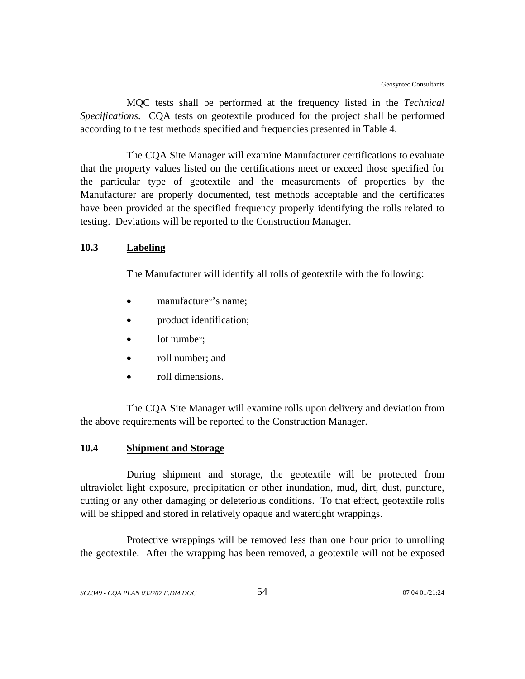MQC tests shall be performed at the frequency listed in the *Technical Specifications*. CQA tests on geotextile produced for the project shall be performed according to the test methods specified and frequencies presented in Table 4.

The CQA Site Manager will examine Manufacturer certifications to evaluate that the property values listed on the certifications meet or exceed those specified for the particular type of geotextile and the measurements of properties by the Manufacturer are properly documented, test methods acceptable and the certificates have been provided at the specified frequency properly identifying the rolls related to testing. Deviations will be reported to the Construction Manager.

### **10.3 Labeling**

The Manufacturer will identify all rolls of geotextile with the following:

- manufacturer's name;
- product identification;
- lot number;
- roll number; and
- roll dimensions.

The CQA Site Manager will examine rolls upon delivery and deviation from the above requirements will be reported to the Construction Manager.

# **10.4 Shipment and Storage**

During shipment and storage, the geotextile will be protected from ultraviolet light exposure, precipitation or other inundation, mud, dirt, dust, puncture, cutting or any other damaging or deleterious conditions. To that effect, geotextile rolls will be shipped and stored in relatively opaque and watertight wrappings.

Protective wrappings will be removed less than one hour prior to unrolling the geotextile. After the wrapping has been removed, a geotextile will not be exposed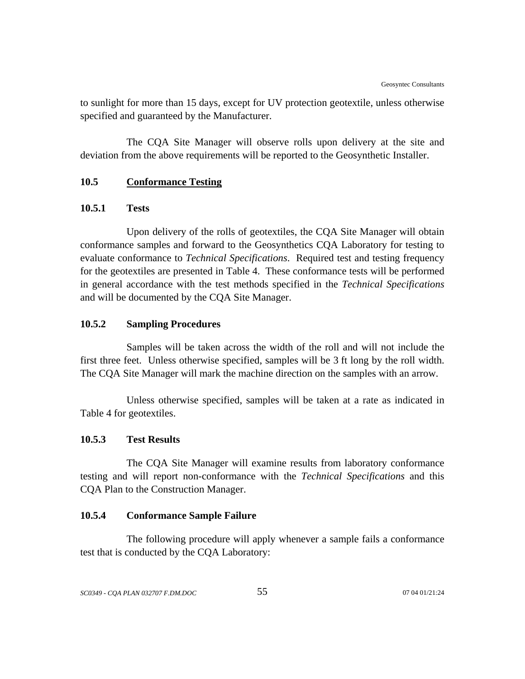to sunlight for more than 15 days, except for UV protection geotextile, unless otherwise specified and guaranteed by the Manufacturer.

The CQA Site Manager will observe rolls upon delivery at the site and deviation from the above requirements will be reported to the Geosynthetic Installer.

### **10.5 Conformance Testing**

### **10.5.1 Tests**

Upon delivery of the rolls of geotextiles, the CQA Site Manager will obtain conformance samples and forward to the Geosynthetics CQA Laboratory for testing to evaluate conformance to *Technical Specifications*. Required test and testing frequency for the geotextiles are presented in Table 4. These conformance tests will be performed in general accordance with the test methods specified in the *Technical Specifications* and will be documented by the CQA Site Manager.

#### **10.5.2 Sampling Procedures**

Samples will be taken across the width of the roll and will not include the first three feet. Unless otherwise specified, samples will be 3 ft long by the roll width. The CQA Site Manager will mark the machine direction on the samples with an arrow.

Unless otherwise specified, samples will be taken at a rate as indicated in Table 4 for geotextiles.

## **10.5.3 Test Results**

The CQA Site Manager will examine results from laboratory conformance testing and will report non-conformance with the *Technical Specifications* and this CQA Plan to the Construction Manager.

## **10.5.4 Conformance Sample Failure**

The following procedure will apply whenever a sample fails a conformance test that is conducted by the CQA Laboratory: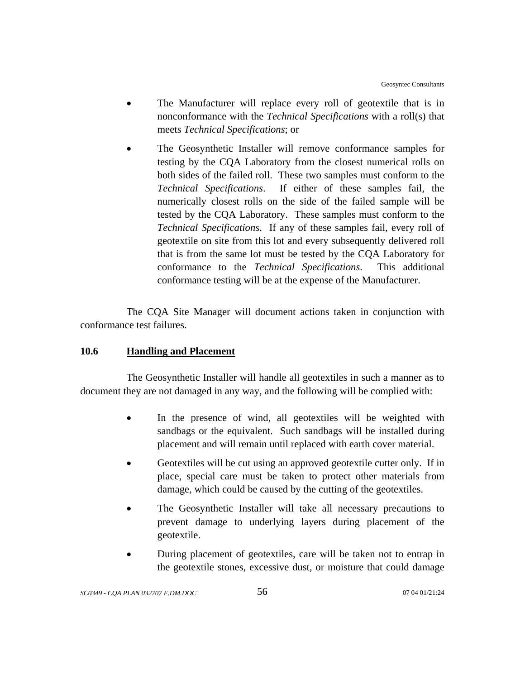- The Manufacturer will replace every roll of geotextile that is in nonconformance with the *Technical Specifications* with a roll(s) that meets *Technical Specifications*; or
- The Geosynthetic Installer will remove conformance samples for testing by the CQA Laboratory from the closest numerical rolls on both sides of the failed roll. These two samples must conform to the *Technical Specifications*. If either of these samples fail, the numerically closest rolls on the side of the failed sample will be tested by the CQA Laboratory. These samples must conform to the *Technical Specifications*. If any of these samples fail, every roll of geotextile on site from this lot and every subsequently delivered roll that is from the same lot must be tested by the CQA Laboratory for conformance to the *Technical Specifications*. This additional conformance testing will be at the expense of the Manufacturer.

The CQA Site Manager will document actions taken in conjunction with conformance test failures.

# **10.6 Handling and Placement**

The Geosynthetic Installer will handle all geotextiles in such a manner as to document they are not damaged in any way, and the following will be complied with:

- In the presence of wind, all geotextiles will be weighted with sandbags or the equivalent. Such sandbags will be installed during placement and will remain until replaced with earth cover material.
- Geotextiles will be cut using an approved geotextile cutter only. If in place, special care must be taken to protect other materials from damage, which could be caused by the cutting of the geotextiles.
- The Geosynthetic Installer will take all necessary precautions to prevent damage to underlying layers during placement of the geotextile.
- During placement of geotextiles, care will be taken not to entrap in the geotextile stones, excessive dust, or moisture that could damage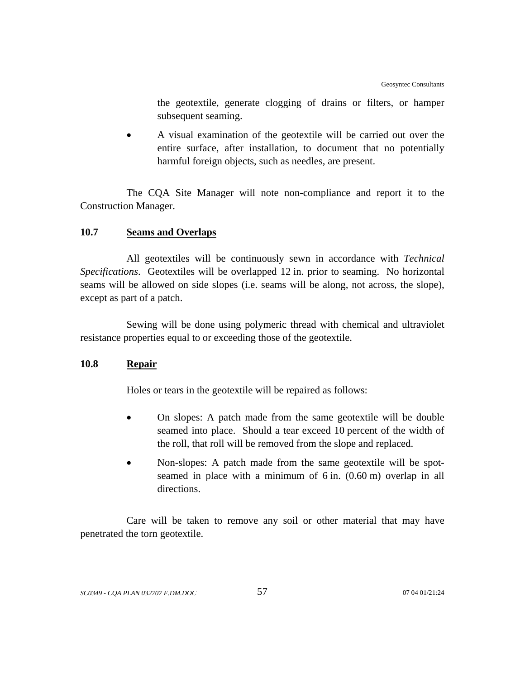the geotextile, generate clogging of drains or filters, or hamper subsequent seaming.

• A visual examination of the geotextile will be carried out over the entire surface, after installation, to document that no potentially harmful foreign objects, such as needles, are present.

The CQA Site Manager will note non-compliance and report it to the Construction Manager.

# **10.7 Seams and Overlaps**

All geotextiles will be continuously sewn in accordance with *Technical Specifications*. Geotextiles will be overlapped 12 in. prior to seaming. No horizontal seams will be allowed on side slopes (i.e. seams will be along, not across, the slope), except as part of a patch.

Sewing will be done using polymeric thread with chemical and ultraviolet resistance properties equal to or exceeding those of the geotextile.

# **10.8 Repair**

Holes or tears in the geotextile will be repaired as follows:

- On slopes: A patch made from the same geotextile will be double seamed into place. Should a tear exceed 10 percent of the width of the roll, that roll will be removed from the slope and replaced.
- Non-slopes: A patch made from the same geotextile will be spotseamed in place with a minimum of 6 in. (0.60 m) overlap in all directions.

Care will be taken to remove any soil or other material that may have penetrated the torn geotextile.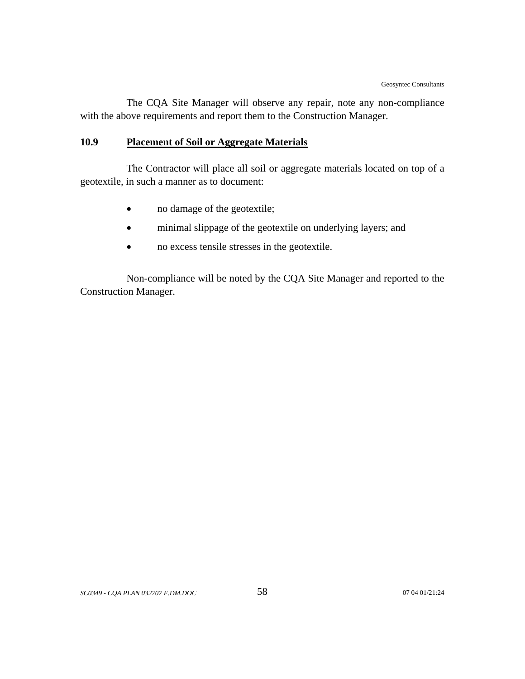The CQA Site Manager will observe any repair, note any non-compliance with the above requirements and report them to the Construction Manager.

# **10.9 Placement of Soil or Aggregate Materials**

The Contractor will place all soil or aggregate materials located on top of a geotextile, in such a manner as to document:

- no damage of the geotextile;
- minimal slippage of the geotextile on underlying layers; and
- no excess tensile stresses in the geotextile.

Non-compliance will be noted by the CQA Site Manager and reported to the Construction Manager.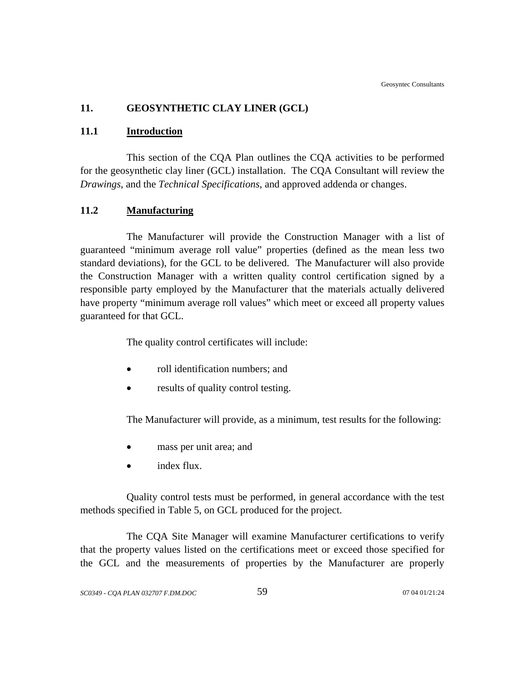# **11. GEOSYNTHETIC CLAY LINER (GCL)**

### **11.1 Introduction**

This section of the CQA Plan outlines the CQA activities to be performed for the geosynthetic clay liner (GCL) installation. The CQA Consultant will review the *Drawings*, and the *Technical Specifications*, and approved addenda or changes.

### **11.2 Manufacturing**

The Manufacturer will provide the Construction Manager with a list of guaranteed "minimum average roll value" properties (defined as the mean less two standard deviations), for the GCL to be delivered. The Manufacturer will also provide the Construction Manager with a written quality control certification signed by a responsible party employed by the Manufacturer that the materials actually delivered have property "minimum average roll values" which meet or exceed all property values guaranteed for that GCL.

The quality control certificates will include:

- roll identification numbers; and
- results of quality control testing.

The Manufacturer will provide, as a minimum, test results for the following:

- mass per unit area; and
- index flux.

Quality control tests must be performed, in general accordance with the test methods specified in Table 5, on GCL produced for the project.

The CQA Site Manager will examine Manufacturer certifications to verify that the property values listed on the certifications meet or exceed those specified for the GCL and the measurements of properties by the Manufacturer are properly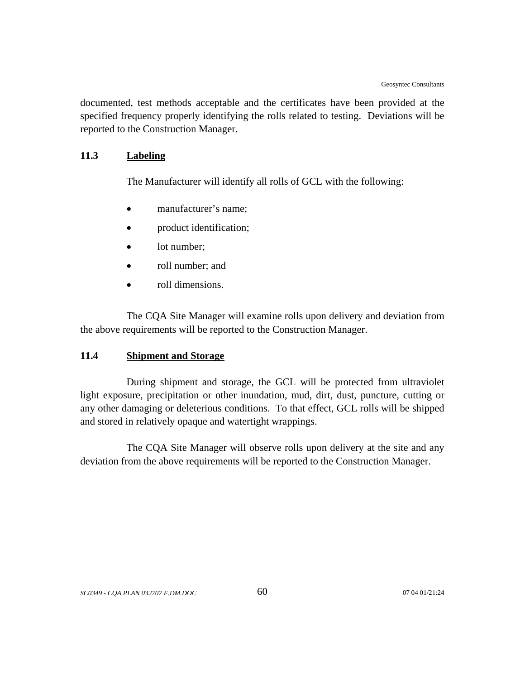documented, test methods acceptable and the certificates have been provided at the specified frequency properly identifying the rolls related to testing. Deviations will be reported to the Construction Manager.

# **11.3 Labeling**

The Manufacturer will identify all rolls of GCL with the following:

- manufacturer's name:
- product identification;
- lot number:
- roll number; and
- roll dimensions.

The CQA Site Manager will examine rolls upon delivery and deviation from the above requirements will be reported to the Construction Manager.

### **11.4 Shipment and Storage**

During shipment and storage, the GCL will be protected from ultraviolet light exposure, precipitation or other inundation, mud, dirt, dust, puncture, cutting or any other damaging or deleterious conditions. To that effect, GCL rolls will be shipped and stored in relatively opaque and watertight wrappings.

The CQA Site Manager will observe rolls upon delivery at the site and any deviation from the above requirements will be reported to the Construction Manager.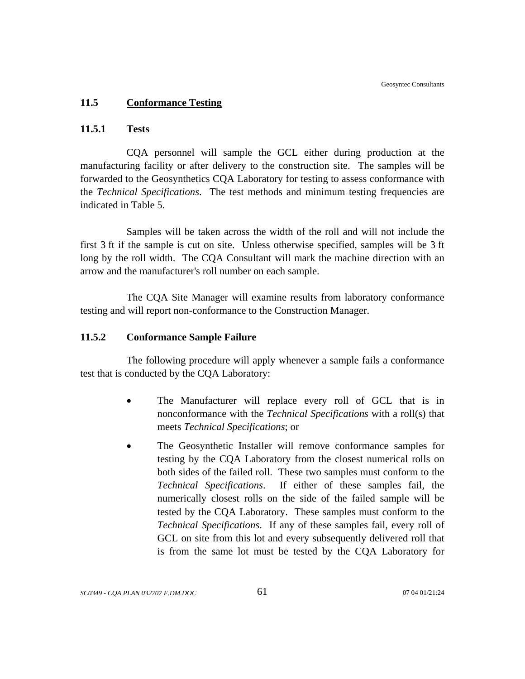### **11.5 Conformance Testing**

## **11.5.1 Tests**

CQA personnel will sample the GCL either during production at the manufacturing facility or after delivery to the construction site. The samples will be forwarded to the Geosynthetics CQA Laboratory for testing to assess conformance with the *Technical Specifications*. The test methods and minimum testing frequencies are indicated in Table 5.

Samples will be taken across the width of the roll and will not include the first 3 ft if the sample is cut on site. Unless otherwise specified, samples will be 3 ft long by the roll width. The CQA Consultant will mark the machine direction with an arrow and the manufacturer's roll number on each sample.

The CQA Site Manager will examine results from laboratory conformance testing and will report non-conformance to the Construction Manager.

### **11.5.2 Conformance Sample Failure**

The following procedure will apply whenever a sample fails a conformance test that is conducted by the CQA Laboratory:

- The Manufacturer will replace every roll of GCL that is in nonconformance with the *Technical Specifications* with a roll(s) that meets *Technical Specifications*; or
- The Geosynthetic Installer will remove conformance samples for testing by the CQA Laboratory from the closest numerical rolls on both sides of the failed roll. These two samples must conform to the *Technical Specifications*. If either of these samples fail, the numerically closest rolls on the side of the failed sample will be tested by the CQA Laboratory. These samples must conform to the *Technical Specifications*. If any of these samples fail, every roll of GCL on site from this lot and every subsequently delivered roll that is from the same lot must be tested by the CQA Laboratory for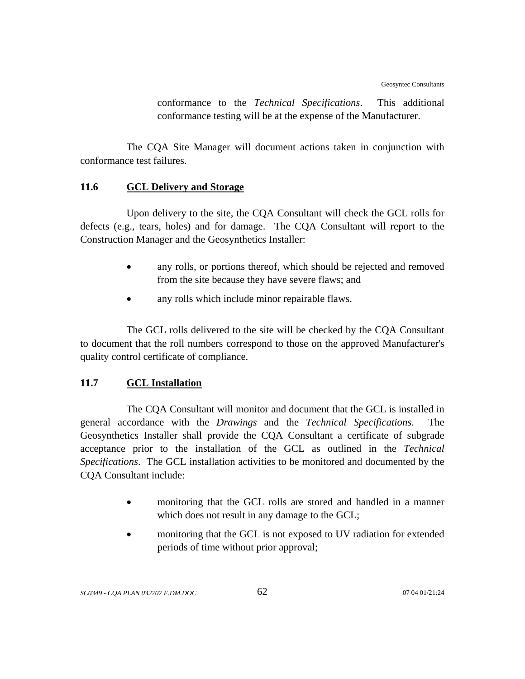conformance to the *Technical Specifications*. This additional conformance testing will be at the expense of the Manufacturer.

The CQA Site Manager will document actions taken in conjunction with conformance test failures.

# **11.6 GCL Delivery and Storage**

Upon delivery to the site, the CQA Consultant will check the GCL rolls for defects (e.g., tears, holes) and for damage. The CQA Consultant will report to the Construction Manager and the Geosynthetics Installer:

- any rolls, or portions thereof, which should be rejected and removed from the site because they have severe flaws; and
- any rolls which include minor repairable flaws.

The GCL rolls delivered to the site will be checked by the CQA Consultant to document that the roll numbers correspond to those on the approved Manufacturer's quality control certificate of compliance.

# **11.7 GCL Installation**

The CQA Consultant will monitor and document that the GCL is installed in general accordance with the *Drawings* and the *Technical Specifications*. The Geosynthetics Installer shall provide the CQA Consultant a certificate of subgrade acceptance prior to the installation of the GCL as outlined in the *Technical Specifications*. The GCL installation activities to be monitored and documented by the CQA Consultant include:

- monitoring that the GCL rolls are stored and handled in a manner which does not result in any damage to the GCL;
- monitoring that the GCL is not exposed to UV radiation for extended periods of time without prior approval;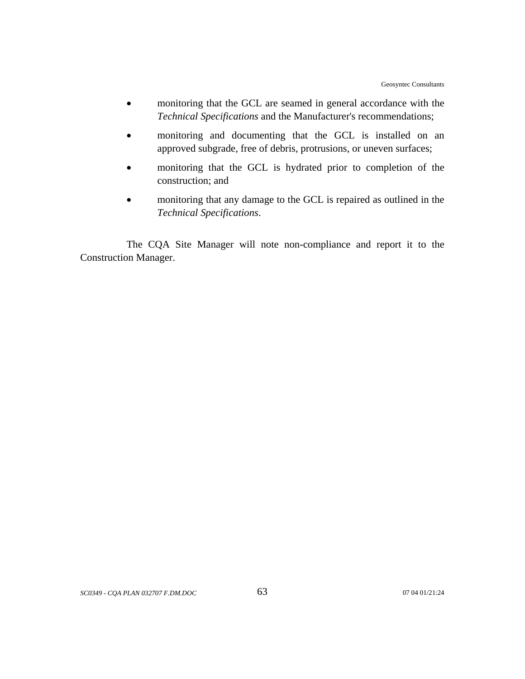- monitoring that the GCL are seamed in general accordance with the *Technical Specifications* and the Manufacturer's recommendations;
- monitoring and documenting that the GCL is installed on an approved subgrade, free of debris, protrusions, or uneven surfaces;
- monitoring that the GCL is hydrated prior to completion of the construction; and
- monitoring that any damage to the GCL is repaired as outlined in the *Technical Specifications*.

The CQA Site Manager will note non-compliance and report it to the Construction Manager.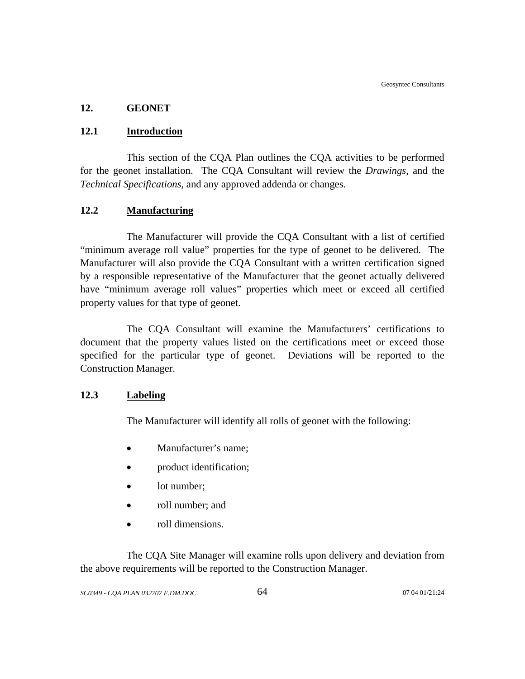# **12. GEONET**

## **12.1 Introduction**

This section of the CQA Plan outlines the CQA activities to be performed for the geonet installation. The CQA Consultant will review the *Drawings*, and the *Technical Specifications*, and any approved addenda or changes.

# **12.2 Manufacturing**

The Manufacturer will provide the CQA Consultant with a list of certified "minimum average roll value" properties for the type of geonet to be delivered. The Manufacturer will also provide the CQA Consultant with a written certification signed by a responsible representative of the Manufacturer that the geonet actually delivered have "minimum average roll values" properties which meet or exceed all certified property values for that type of geonet.

The CQA Consultant will examine the Manufacturers' certifications to document that the property values listed on the certifications meet or exceed those specified for the particular type of geonet. Deviations will be reported to the Construction Manager.

### **12.3 Labeling**

The Manufacturer will identify all rolls of geonet with the following:

- Manufacturer's name;
- product identification;
- lot number;
- roll number; and
- roll dimensions.

The CQA Site Manager will examine rolls upon delivery and deviation from the above requirements will be reported to the Construction Manager.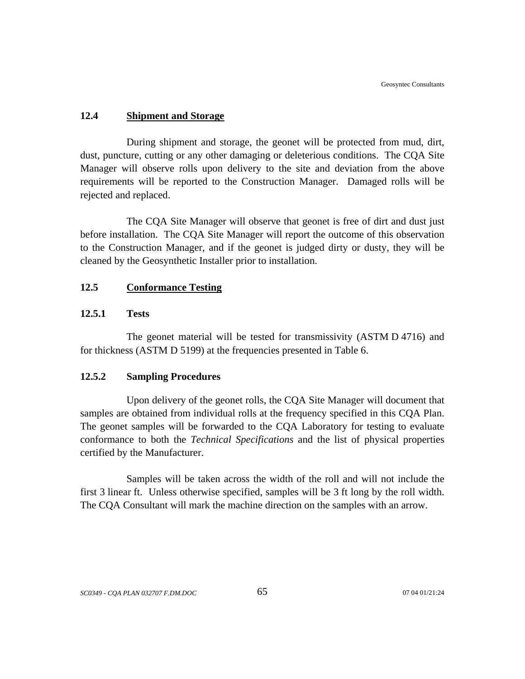### **12.4 Shipment and Storage**

During shipment and storage, the geonet will be protected from mud, dirt, dust, puncture, cutting or any other damaging or deleterious conditions. The CQA Site Manager will observe rolls upon delivery to the site and deviation from the above requirements will be reported to the Construction Manager. Damaged rolls will be rejected and replaced.

The CQA Site Manager will observe that geonet is free of dirt and dust just before installation. The CQA Site Manager will report the outcome of this observation to the Construction Manager, and if the geonet is judged dirty or dusty, they will be cleaned by the Geosynthetic Installer prior to installation.

### **12.5 Conformance Testing**

### **12.5.1 Tests**

The geonet material will be tested for transmissivity (ASTM D 4716) and for thickness (ASTM D 5199) at the frequencies presented in Table 6.

#### **12.5.2 Sampling Procedures**

Upon delivery of the geonet rolls, the CQA Site Manager will document that samples are obtained from individual rolls at the frequency specified in this CQA Plan. The geonet samples will be forwarded to the CQA Laboratory for testing to evaluate conformance to both the *Technical Specifications* and the list of physical properties certified by the Manufacturer.

Samples will be taken across the width of the roll and will not include the first 3 linear ft. Unless otherwise specified, samples will be 3 ft long by the roll width. The CQA Consultant will mark the machine direction on the samples with an arrow.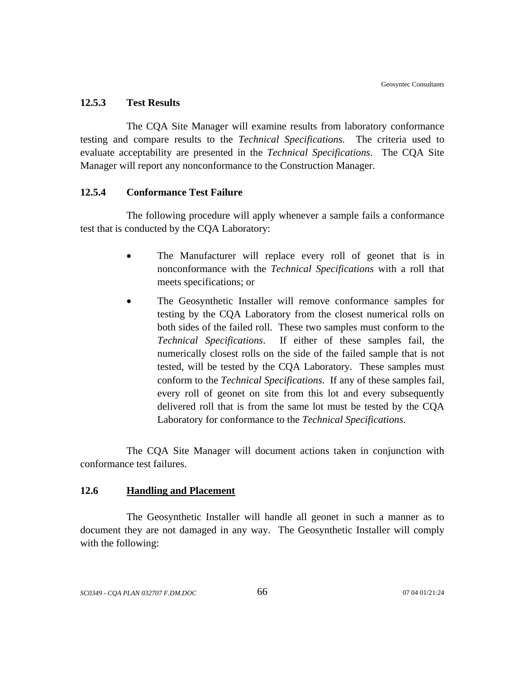#### **12.5.3 Test Results**

The CQA Site Manager will examine results from laboratory conformance testing and compare results to the *Technical Specifications*. The criteria used to evaluate acceptability are presented in the *Technical Specifications*. The CQA Site Manager will report any nonconformance to the Construction Manager.

#### **12.5.4 Conformance Test Failure**

The following procedure will apply whenever a sample fails a conformance test that is conducted by the CQA Laboratory:

- The Manufacturer will replace every roll of geonet that is in nonconformance with the *Technical Specifications* with a roll that meets specifications; or
- The Geosynthetic Installer will remove conformance samples for testing by the CQA Laboratory from the closest numerical rolls on both sides of the failed roll. These two samples must conform to the *Technical Specifications*. If either of these samples fail, the numerically closest rolls on the side of the failed sample that is not tested, will be tested by the CQA Laboratory. These samples must conform to the *Technical Specifications*. If any of these samples fail, every roll of geonet on site from this lot and every subsequently delivered roll that is from the same lot must be tested by the CQA Laboratory for conformance to the *Technical Specifications*.

The CQA Site Manager will document actions taken in conjunction with conformance test failures.

## **12.6 Handling and Placement**

The Geosynthetic Installer will handle all geonet in such a manner as to document they are not damaged in any way. The Geosynthetic Installer will comply with the following: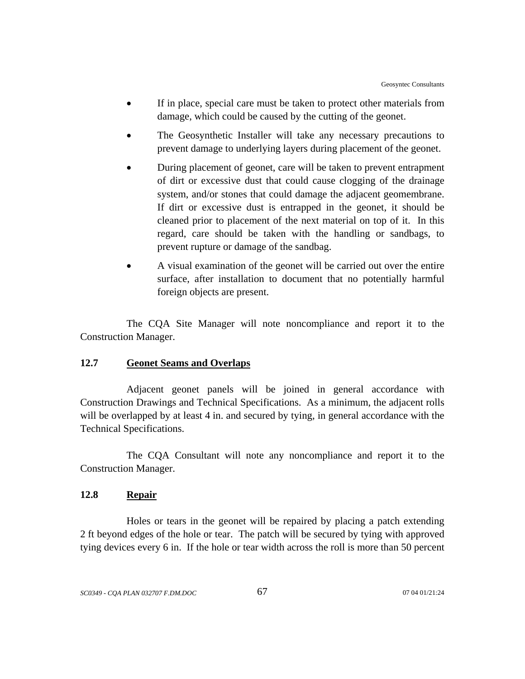- If in place, special care must be taken to protect other materials from damage, which could be caused by the cutting of the geonet.
- The Geosynthetic Installer will take any necessary precautions to prevent damage to underlying layers during placement of the geonet.
- During placement of geonet, care will be taken to prevent entrapment of dirt or excessive dust that could cause clogging of the drainage system, and/or stones that could damage the adjacent geomembrane. If dirt or excessive dust is entrapped in the geonet, it should be cleaned prior to placement of the next material on top of it. In this regard, care should be taken with the handling or sandbags, to prevent rupture or damage of the sandbag.
- A visual examination of the geonet will be carried out over the entire surface, after installation to document that no potentially harmful foreign objects are present.

The CQA Site Manager will note noncompliance and report it to the Construction Manager.

## **12.7 Geonet Seams and Overlaps**

Adjacent geonet panels will be joined in general accordance with Construction Drawings and Technical Specifications. As a minimum, the adjacent rolls will be overlapped by at least 4 in. and secured by tying, in general accordance with the Technical Specifications.

The CQA Consultant will note any noncompliance and report it to the Construction Manager.

## **12.8 Repair**

Holes or tears in the geonet will be repaired by placing a patch extending 2 ft beyond edges of the hole or tear. The patch will be secured by tying with approved tying devices every 6 in. If the hole or tear width across the roll is more than 50 percent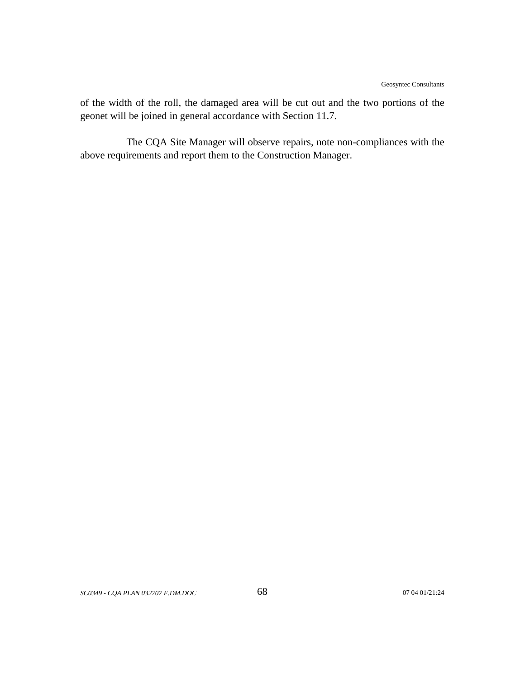of the width of the roll, the damaged area will be cut out and the two portions of the geonet will be joined in general accordance with Section 11.7.

The CQA Site Manager will observe repairs, note non-compliances with the above requirements and report them to the Construction Manager.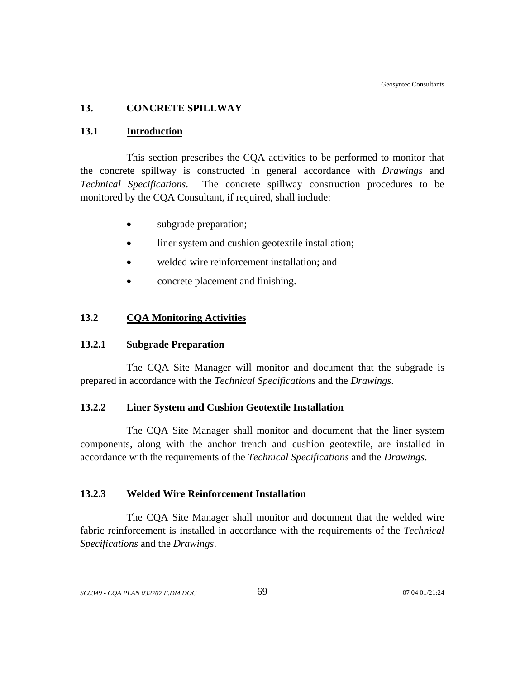#### **13. CONCRETE SPILLWAY**

#### **13.1 Introduction**

This section prescribes the CQA activities to be performed to monitor that the concrete spillway is constructed in general accordance with *Drawings* and *Technical Specifications*. The concrete spillway construction procedures to be monitored by the CQA Consultant, if required, shall include:

- subgrade preparation;
- liner system and cushion geotextile installation;
- welded wire reinforcement installation; and
- concrete placement and finishing.

#### **13.2 CQA Monitoring Activities**

### **13.2.1 Subgrade Preparation**

The CQA Site Manager will monitor and document that the subgrade is prepared in accordance with the *Technical Specifications* and the *Drawings*.

## **13.2.2 Liner System and Cushion Geotextile Installation**

 The CQA Site Manager shall monitor and document that the liner system components, along with the anchor trench and cushion geotextile, are installed in accordance with the requirements of the *Technical Specifications* and the *Drawings*.

### **13.2.3 Welded Wire Reinforcement Installation**

The CQA Site Manager shall monitor and document that the welded wire fabric reinforcement is installed in accordance with the requirements of the *Technical Specifications* and the *Drawings*.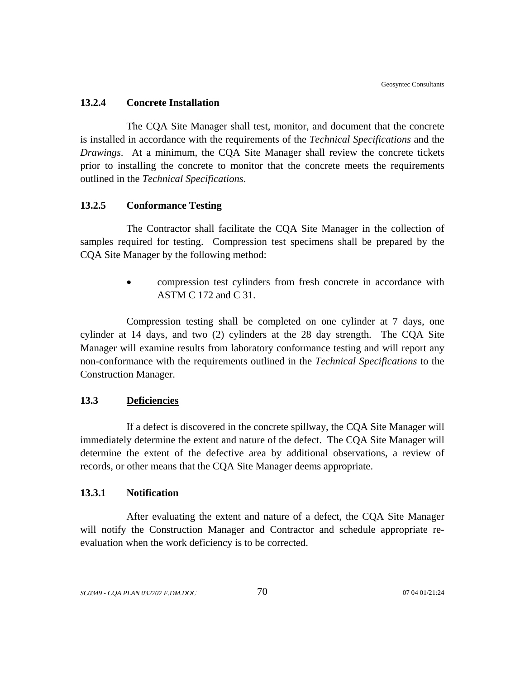#### **13.2.4 Concrete Installation**

The CQA Site Manager shall test, monitor, and document that the concrete is installed in accordance with the requirements of the *Technical Specifications* and the *Drawings*. At a minimum, the CQA Site Manager shall review the concrete tickets prior to installing the concrete to monitor that the concrete meets the requirements outlined in the *Technical Specifications*.

#### **13.2.5 Conformance Testing**

The Contractor shall facilitate the CQA Site Manager in the collection of samples required for testing. Compression test specimens shall be prepared by the CQA Site Manager by the following method:

> • compression test cylinders from fresh concrete in accordance with ASTM C 172 and C 31.

Compression testing shall be completed on one cylinder at 7 days, one cylinder at 14 days, and two (2) cylinders at the 28 day strength. The CQA Site Manager will examine results from laboratory conformance testing and will report any non-conformance with the requirements outlined in the *Technical Specifications* to the Construction Manager.

### **13.3 Deficiencies**

If a defect is discovered in the concrete spillway, the CQA Site Manager will immediately determine the extent and nature of the defect. The CQA Site Manager will determine the extent of the defective area by additional observations, a review of records, or other means that the CQA Site Manager deems appropriate.

## **13.3.1 Notification**

After evaluating the extent and nature of a defect, the CQA Site Manager will notify the Construction Manager and Contractor and schedule appropriate reevaluation when the work deficiency is to be corrected.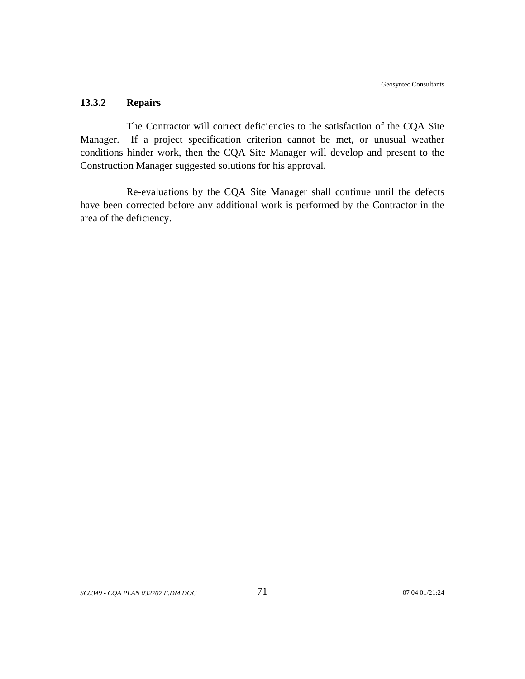# **13.3.2 Repairs**

The Contractor will correct deficiencies to the satisfaction of the CQA Site Manager. If a project specification criterion cannot be met, or unusual weather conditions hinder work, then the CQA Site Manager will develop and present to the Construction Manager suggested solutions for his approval.

Re-evaluations by the CQA Site Manager shall continue until the defects have been corrected before any additional work is performed by the Contractor in the area of the deficiency.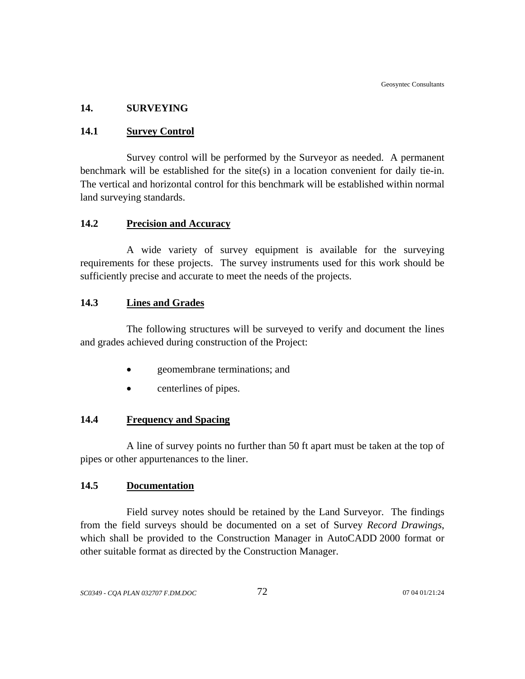# **14. SURVEYING**

# **14.1 Survey Control**

Survey control will be performed by the Surveyor as needed. A permanent benchmark will be established for the site(s) in a location convenient for daily tie-in. The vertical and horizontal control for this benchmark will be established within normal land surveying standards.

# **14.2 Precision and Accuracy**

A wide variety of survey equipment is available for the surveying requirements for these projects. The survey instruments used for this work should be sufficiently precise and accurate to meet the needs of the projects.

## **14.3 Lines and Grades**

The following structures will be surveyed to verify and document the lines and grades achieved during construction of the Project:

- geomembrane terminations; and
- centerlines of pipes.

# **14.4 Frequency and Spacing**

A line of survey points no further than 50 ft apart must be taken at the top of pipes or other appurtenances to the liner.

## **14.5 Documentation**

Field survey notes should be retained by the Land Surveyor. The findings from the field surveys should be documented on a set of Survey *Record Drawings*, which shall be provided to the Construction Manager in AutoCADD 2000 format or other suitable format as directed by the Construction Manager.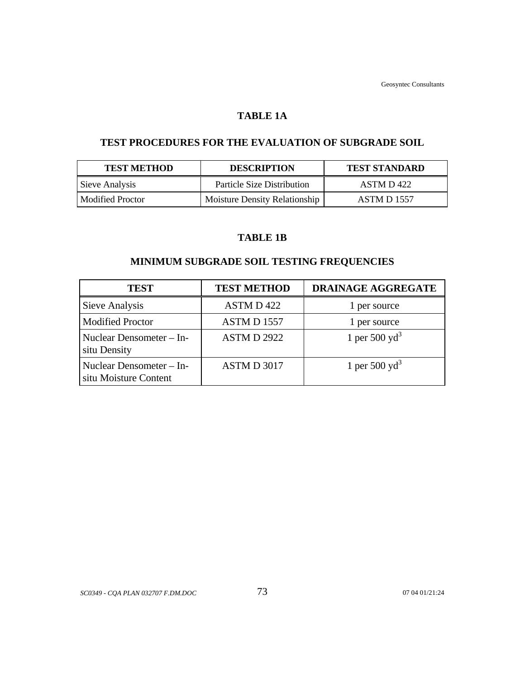### **TABLE 1A**

# **TEST PROCEDURES FOR THE EVALUATION OF SUBGRADE SOIL**

| <b>TEST METHOD</b> | <b>DESCRIPTION</b>                | <b>TEST STANDARD</b> |
|--------------------|-----------------------------------|----------------------|
| Sieve Analysis     | <b>Particle Size Distribution</b> | ASTM D 422           |
| Modified Proctor   | Moisture Density Relationship     | <b>ASTM D 1557</b>   |

# **TABLE 1B**

# **MINIMUM SUBGRADE SOIL TESTING FREQUENCIES**

| <b>TEST</b>                                       | <b>TEST METHOD</b> | DRAINAGE AGGREGATE |
|---------------------------------------------------|--------------------|--------------------|
| Sieve Analysis                                    | ASTM D 422         | 1 per source       |
| <b>Modified Proctor</b>                           | <b>ASTM D 1557</b> | 1 per source       |
| Nuclear Densometer – In-<br>situ Density          | <b>ASTM D 2922</b> | 1 per 500 $yd^3$   |
| Nuclear Densometer – In-<br>situ Moisture Content | ASTM D 3017        | 1 per 500 $yd^3$   |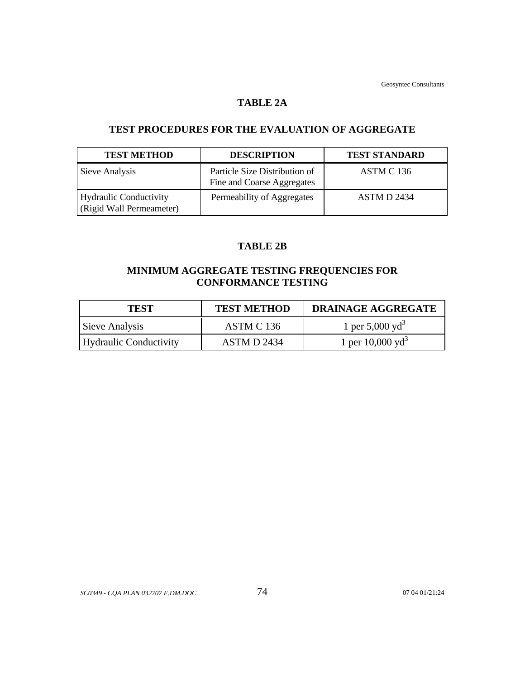#### **TABLE 2A**

# **TEST PROCEDURES FOR THE EVALUATION OF AGGREGATE**

| <b>TEST METHOD</b>                                        | <b>DESCRIPTION</b>                                          | <b>TEST STANDARD</b> |
|-----------------------------------------------------------|-------------------------------------------------------------|----------------------|
| Sieve Analysis                                            | Particle Size Distribution of<br>Fine and Coarse Aggregates | ASTM C 136           |
| <b>Hydraulic Conductivity</b><br>(Rigid Wall Permeameter) | Permeability of Aggregates                                  | <b>ASTM D 2434</b>   |

# **TABLE 2B**

# **MINIMUM AGGREGATE TESTING FREQUENCIES FOR CONFORMANCE TESTING**

| <b>TEST</b>            | <b>TEST METHOD</b> | <b>DRAINAGE AGGREGATE</b>   |
|------------------------|--------------------|-----------------------------|
| Sieve Analysis         | ASTM C 136         | 1 per 5,000 yd <sup>3</sup> |
| Hydraulic Conductivity | ASTM D 2434        | 1 per $10,000 \text{ yd}^3$ |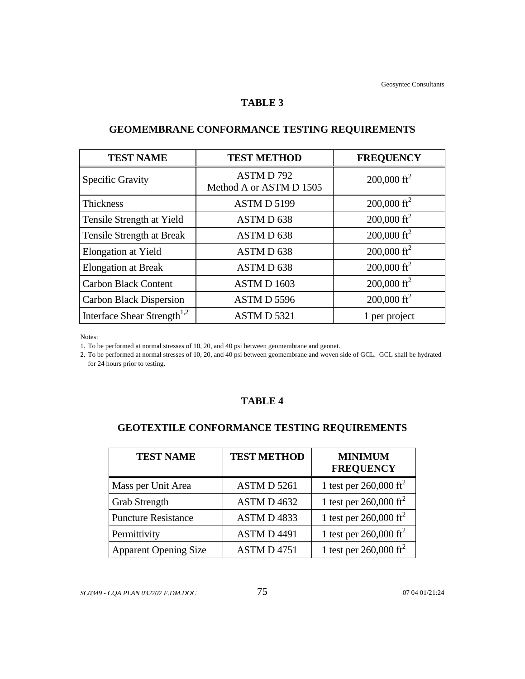#### **TABLE 3**

| <b>TEST NAME</b>                        | <b>TEST METHOD</b>                  | <b>FREQUENCY</b>        |
|-----------------------------------------|-------------------------------------|-------------------------|
| <b>Specific Gravity</b>                 | ASTMD792<br>Method A or ASTM D 1505 | 200,000 ft <sup>2</sup> |
| Thickness                               | ASTMD 5199                          | $200,000 \text{ ft}^2$  |
| Tensile Strength at Yield               | ASTMD 638                           | 200,000 ft <sup>2</sup> |
| Tensile Strength at Break               | ASTMD 638                           | 200,000 ft <sup>2</sup> |
| <b>Elongation at Yield</b>              | ASTMD 638                           | 200,000 ft <sup>2</sup> |
| <b>Elongation at Break</b>              | ASTMD 638                           | $200,000 \text{ ft}^2$  |
| <b>Carbon Black Content</b>             | ASTMD 1603                          | 200,000 ft <sup>2</sup> |
| <b>Carbon Black Dispersion</b>          | ASTMD 5596                          | 200,000 ft <sup>2</sup> |
| Interface Shear Strength <sup>1,2</sup> | ASTMD 5321                          | 1 per project           |

# **GEOMEMBRANE CONFORMANCE TESTING REQUIREMENTS**

Notes:

1. To be performed at normal stresses of 10, 20, and 40 psi between geomembrane and geonet.

2. To be performed at normal stresses of 10, 20, and 40 psi between geomembrane and woven side of GCL. GCL shall be hydrated for 24 hours prior to testing.

# **TABLE 4**

# **GEOTEXTILE CONFORMANCE TESTING REQUIREMENTS**

| <b>TEST NAME</b>             | <b>TEST METHOD</b> | <b>MINIMUM</b><br><b>FREQUENCY</b> |
|------------------------------|--------------------|------------------------------------|
| Mass per Unit Area           | ASTM D 5261        | 1 test per $260,000 \text{ ft}^2$  |
| <b>Grab Strength</b>         | ASTM D 4632        | 1 test per 260,000 ft <sup>2</sup> |
| <b>Puncture Resistance</b>   | ASTMD4833          | 1 test per $260,000 \text{ ft}^2$  |
| Permittivity                 | <b>ASTMD4491</b>   | 1 test per $260,000 \text{ ft}^2$  |
| <b>Apparent Opening Size</b> | <b>ASTM D 4751</b> | 1 test per 260,000 ft <sup>2</sup> |